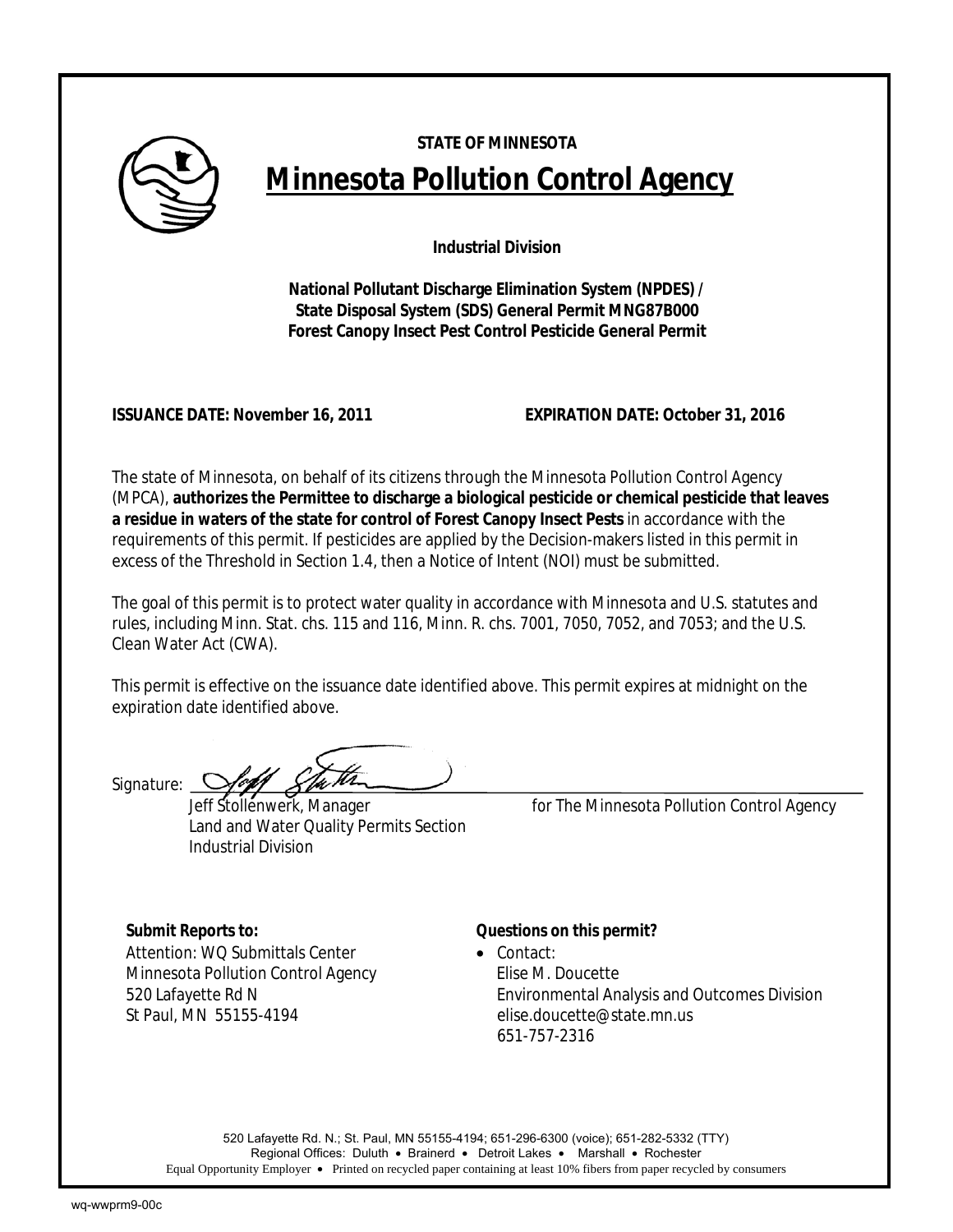

# **STATE OF MINNESOTA Minnesota Pollution Control Agency**

**Industrial Division** 

**National Pollutant Discharge Elimination System (NPDES) / State Disposal System (SDS) General Permit MNG87B000 Forest Canopy Insect Pest Control Pesticide General Permit** 

**ISSUANCE DATE: November 16, 2011 EXPIRATION DATE: October 31, 2016**

The state of Minnesota, on behalf of its citizens through the Minnesota Pollution Control Agency (MPCA), **authorizes the Permittee to discharge a biological pesticide or chemical pesticide that leaves a residue in waters of the state for control of Forest Canopy Insect Pests** in accordance with the requirements of this permit. If pesticides are applied by the Decision-makers listed in this permit in excess of the Threshold in Section 1.4, then a Notice of Intent (NOI) must be submitted.

The goal of this permit is to protect water quality in accordance with Minnesota and U.S. statutes and rules, including Minn. Stat. chs. 115 and 116, Minn. R. chs. 7001, 7050, 7052, and 7053; and the U.S. Clean Water Act (CWA).

This permit is effective on the issuance date identified above. This permit expires at midnight on the expiration date identified above.

*Signature:*

Land and Water Quality Permits Section Industrial Division

Stollenwerk, Manager *for* The Minnesota Pollution Control Agency

Attention: WO Submittals Center • Contact: Minnesota Pollution Control Agency Filise M. Doucette

# *Submit Reports to: Questions on this permit?*

520 Lafayette Rd N Environmental Analysis and Outcomes Division St Paul, MN 55155-4194 elise.doucette@state.mn.us 651-757-2316

520 Lafayette Rd. N.; St. Paul, MN 55155-4194; 651-296-6300 (voice); 651-282-5332 (TTY) Regional Offices: Duluth • Brainerd • Detroit Lakes • Marshall • Rochester Equal Opportunity Employer • Printed on recycled paper containing at least 10% fibers from paper recycled by consumers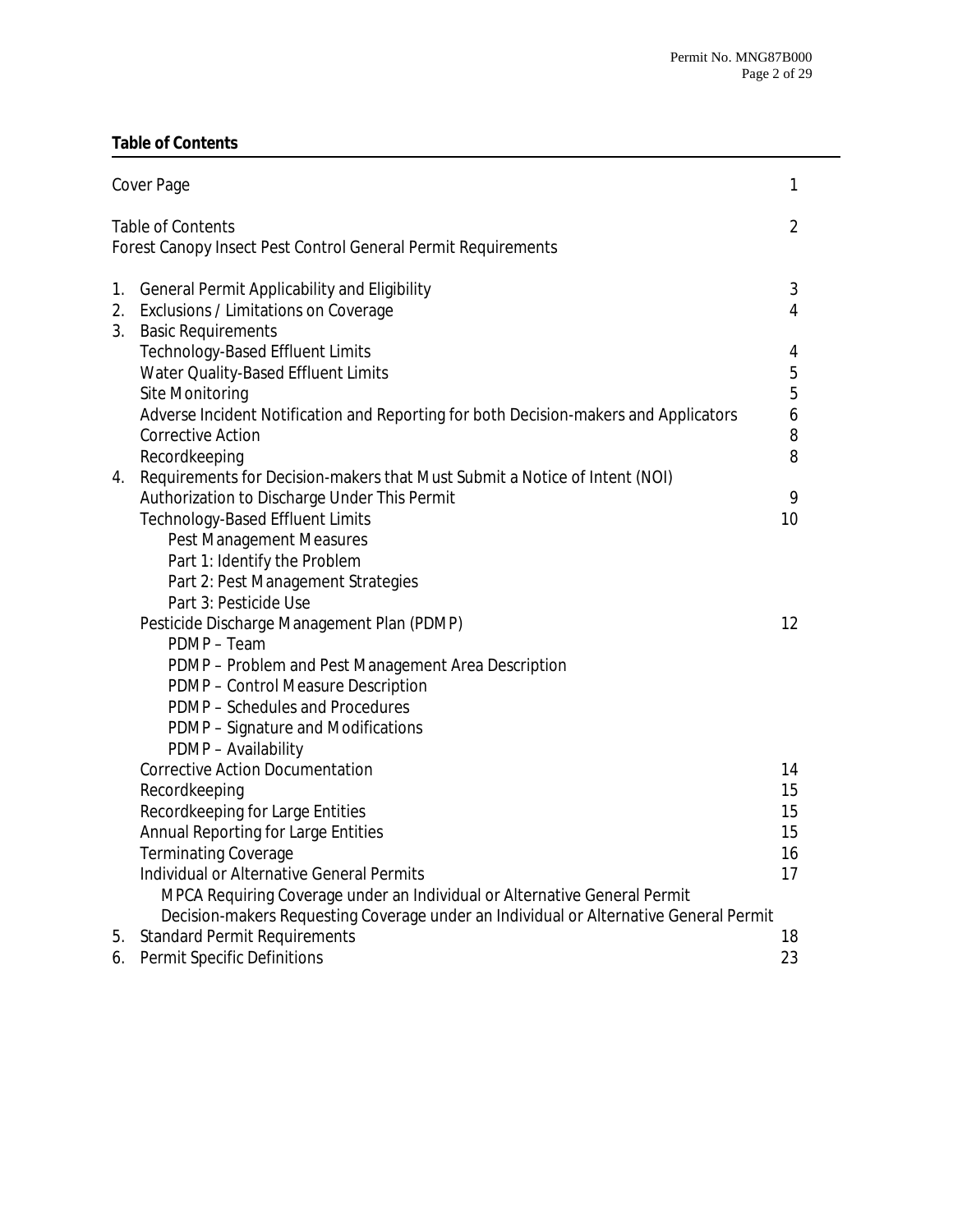# **Table of Contents**

|                | Cover Page                                                                                                                                                                                                                                                                                                                                                                           | $\mathbf{1}$                     |
|----------------|--------------------------------------------------------------------------------------------------------------------------------------------------------------------------------------------------------------------------------------------------------------------------------------------------------------------------------------------------------------------------------------|----------------------------------|
|                | <b>Table of Contents</b><br>Forest Canopy Insect Pest Control General Permit Requirements                                                                                                                                                                                                                                                                                            | $\overline{2}$                   |
| 1.<br>2.<br>3. | General Permit Applicability and Eligibility<br>Exclusions / Limitations on Coverage<br><b>Basic Requirements</b>                                                                                                                                                                                                                                                                    | 3<br>4                           |
|                | Technology-Based Effluent Limits<br>Water Quality-Based Effluent Limits<br>Site Monitoring<br>Adverse Incident Notification and Reporting for both Decision-makers and Applicators<br><b>Corrective Action</b><br>Recordkeeping                                                                                                                                                      | 4<br>5<br>5<br>6<br>8<br>8       |
| 4.             | Requirements for Decision-makers that Must Submit a Notice of Intent (NOI)<br>Authorization to Discharge Under This Permit<br><b>Technology-Based Effluent Limits</b><br><b>Pest Management Measures</b><br>Part 1: Identify the Problem<br>Part 2: Pest Management Strategies<br>Part 3: Pesticide Use                                                                              | 9<br>10                          |
|                | Pesticide Discharge Management Plan (PDMP)<br>PDMP - Team<br>PDMP - Problem and Pest Management Area Description<br>PDMP - Control Measure Description<br>PDMP - Schedules and Procedures<br>PDMP - Signature and Modifications<br>PDMP - Availability                                                                                                                               | 12                               |
|                | <b>Corrective Action Documentation</b><br>Recordkeeping<br>Recordkeeping for Large Entities<br>Annual Reporting for Large Entities<br><b>Terminating Coverage</b><br>Individual or Alternative General Permits<br>MPCA Requiring Coverage under an Individual or Alternative General Permit<br>Decision-makers Requesting Coverage under an Individual or Alternative General Permit | 14<br>15<br>15<br>15<br>16<br>17 |
| 5.<br>6.       | <b>Standard Permit Requirements</b><br><b>Permit Specific Definitions</b>                                                                                                                                                                                                                                                                                                            | 18<br>23                         |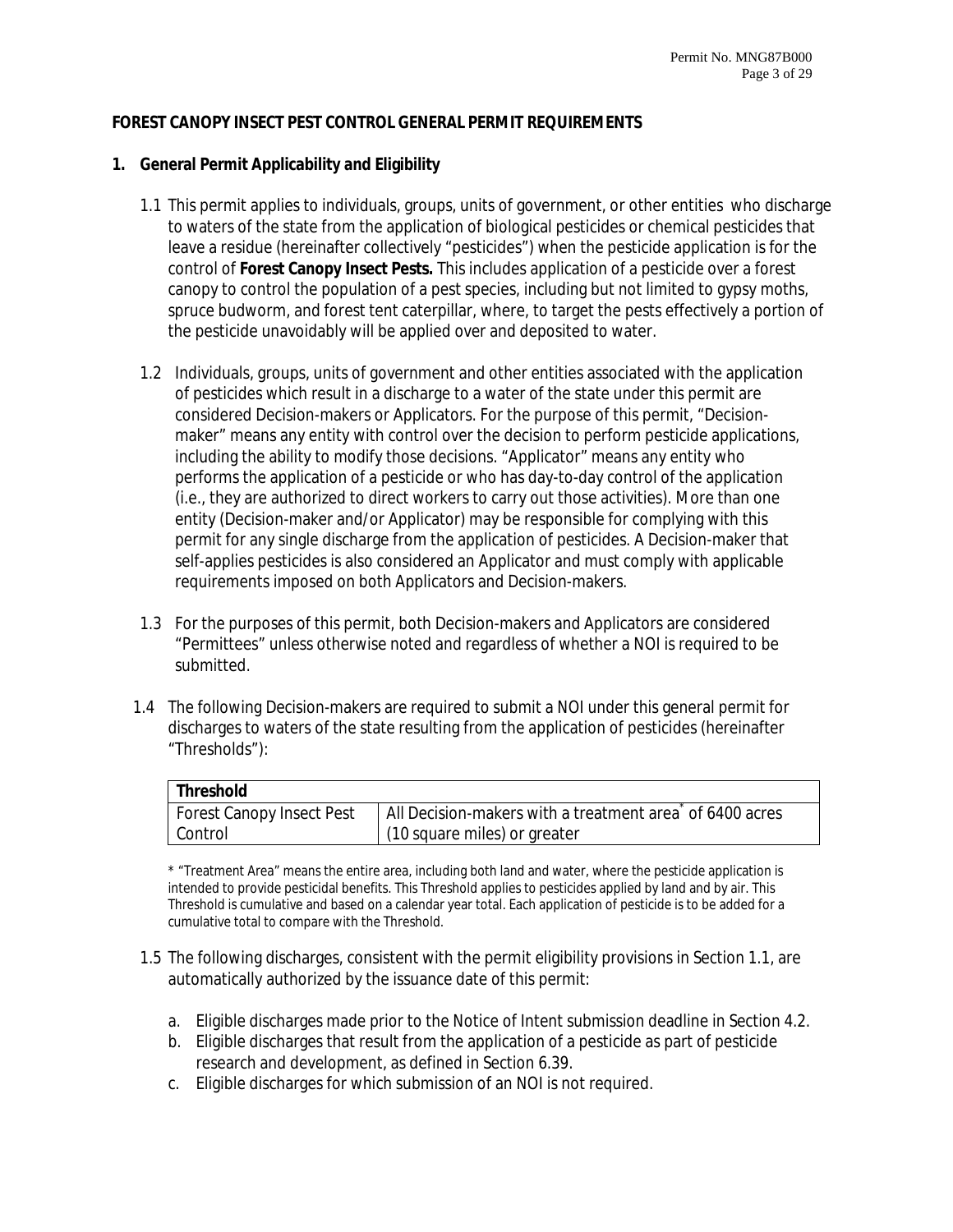#### **FOREST CANOPY INSECT PEST CONTROL GENERAL PERMIT REQUIREMENTS**

#### **1. General Permit Applicability and Eligibility**

- 1.1 This permit applies to individuals, groups, units of government, or other entities who discharge to waters of the state from the application of biological pesticides or chemical pesticides that leave a residue (hereinafter collectively "pesticides") when the pesticide application is for the control of **Forest Canopy Insect Pests.** This includes application of a pesticide over a forest canopy to control the population of a pest species, including but not limited to gypsy moths, spruce budworm, and forest tent caterpillar, where, to target the pests effectively a portion of the pesticide unavoidably will be applied over and deposited to water.
- 1.2 Individuals, groups, units of government and other entities associated with the application of pesticides which result in a discharge to a water of the state under this permit are considered Decision-makers or Applicators. For the purpose of this permit, "Decisionmaker" means any entity with control over the decision to perform pesticide applications, including the ability to modify those decisions. "Applicator" means any entity who performs the application of a pesticide or who has day-to-day control of the application (i.e., they are authorized to direct workers to carry out those activities). More than one entity (Decision-maker and/or Applicator) may be responsible for complying with this permit for any single discharge from the application of pesticides. A Decision-maker that self-applies pesticides is also considered an Applicator and must comply with applicable requirements imposed on both Applicators and Decision-makers.
- 1.3 For the purposes of this permit, both Decision-makers and Applicators are considered "Permittees" unless otherwise noted and regardless of whether a NOI is required to be submitted.
- 1.4 The following Decision-makers are required to submit a NOI under this general permit for discharges to waters of the state resulting from the application of pesticides (hereinafter "Thresholds"):

| Threshold                        |                                                                         |  |  |  |  |
|----------------------------------|-------------------------------------------------------------------------|--|--|--|--|
| <b>Forest Canopy Insect Pest</b> | All Decision-makers with a treatment area <sup>ndor</sup> of 6400 acres |  |  |  |  |
| Control                          | (10 square miles) or greater                                            |  |  |  |  |

\* "Treatment Area" means the entire area, including both land and water, where the pesticide application is intended to provide pesticidal benefits. This Threshold applies to pesticides applied by land and by air. This Threshold is cumulative and based on a calendar year total. Each application of pesticide is to be added for a cumulative total to compare with the Threshold.

- 1.5 The following discharges, consistent with the permit eligibility provisions in Section 1.1, are automatically authorized by the issuance date of this permit:
	- a. Eligible discharges made prior to the Notice of Intent submission deadline in Section 4.2.
	- b. Eligible discharges that result from the application of a pesticide as part of pesticide research and development, as defined in Section 6.39.
	- c. Eligible discharges for which submission of an NOI is not required.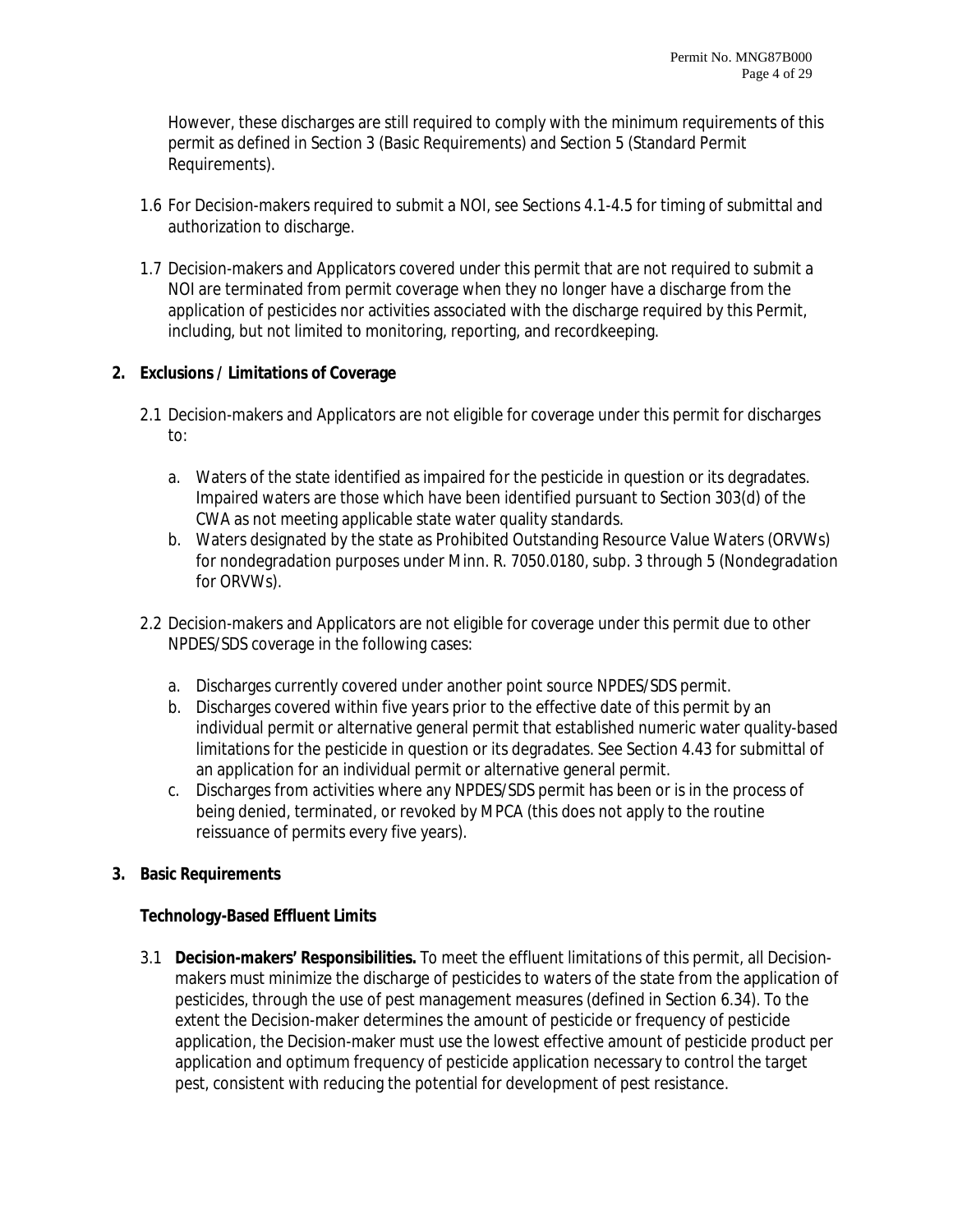However, these discharges are still required to comply with the minimum requirements of this permit as defined in Section 3 (Basic Requirements) and Section 5 (Standard Permit Requirements).

- 1.6 For Decision-makers required to submit a NOI, see Sections 4.1-4.5 for timing of submittal and authorization to discharge.
- 1.7 Decision-makers and Applicators covered under this permit that are not required to submit a NOI are terminated from permit coverage when they no longer have a discharge from the application of pesticides nor activities associated with the discharge required by this Permit, including, but not limited to monitoring, reporting, and recordkeeping.

## **2. Exclusions / Limitations of Coverage**

- 2.1 Decision-makers and Applicators are not eligible for coverage under this permit for discharges to:
	- a. Waters of the state identified as impaired for the pesticide in question or its degradates. Impaired waters are those which have been identified pursuant to Section 303(d) of the CWA as not meeting applicable state water quality standards.
	- b. Waters designated by the state as Prohibited Outstanding Resource Value Waters (ORVWs) for nondegradation purposes under Minn. R. 7050.0180, subp. 3 through 5 (Nondegradation for ORVWs).
- 2.2 Decision-makers and Applicators are not eligible for coverage under this permit due to other NPDES/SDS coverage in the following cases:
	- a. Discharges currently covered under another point source NPDES/SDS permit.
	- b. Discharges covered within five years prior to the effective date of this permit by an individual permit or alternative general permit that established numeric water quality-based limitations for the pesticide in question or its degradates. See Section 4.43 for submittal of an application for an individual permit or alternative general permit.
	- c. Discharges from activities where any NPDES/SDS permit has been or is in the process of being denied, terminated, or revoked by MPCA (this does not apply to the routine reissuance of permits every five years).

#### **3. Basic Requirements**

#### **Technology-Based Effluent Limits**

3.1 **Decision-makers' Responsibilities.** To meet the effluent limitations of this permit, all Decisionmakers must minimize the discharge of pesticides to waters of the state from the application of pesticides, through the use of pest management measures (defined in Section 6.34). To the extent the Decision-maker determines the amount of pesticide or frequency of pesticide application, the Decision-maker must use the lowest effective amount of pesticide product per application and optimum frequency of pesticide application necessary to control the target pest, consistent with reducing the potential for development of pest resistance.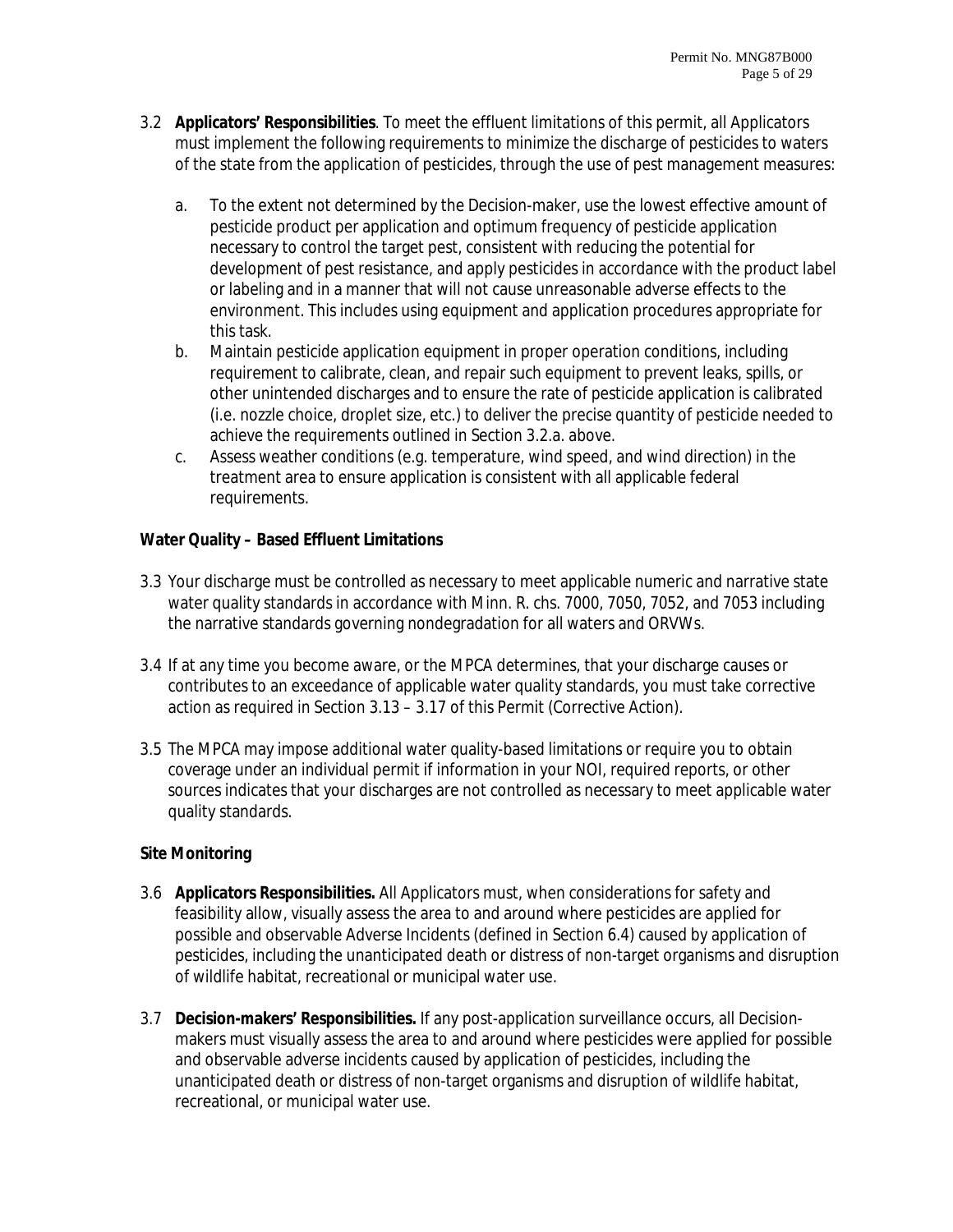- 3.2 **Applicators' Responsibilities**. To meet the effluent limitations of this permit, all Applicators must implement the following requirements to minimize the discharge of pesticides to waters of the state from the application of pesticides, through the use of pest management measures:
	- a. To the extent not determined by the Decision-maker, use the lowest effective amount of pesticide product per application and optimum frequency of pesticide application necessary to control the target pest, consistent with reducing the potential for development of pest resistance, and apply pesticides in accordance with the product label or labeling and in a manner that will not cause unreasonable adverse effects to the environment. This includes using equipment and application procedures appropriate for this task.
	- b. Maintain pesticide application equipment in proper operation conditions, including requirement to calibrate, clean, and repair such equipment to prevent leaks, spills, or other unintended discharges and to ensure the rate of pesticide application is calibrated (i.e. nozzle choice, droplet size, etc.) to deliver the precise quantity of pesticide needed to achieve the requirements outlined in Section 3.2.a. above.
	- c. Assess weather conditions (e.g. temperature, wind speed, and wind direction) in the treatment area to ensure application is consistent with all applicable federal requirements.

# **Water Quality – Based Effluent Limitations**

- 3.3 Your discharge must be controlled as necessary to meet applicable numeric and narrative state water quality standards in accordance with Minn. R. chs. 7000, 7050, 7052, and 7053 including the narrative standards governing nondegradation for all waters and ORVWs.
- 3.4 If at any time you become aware, or the MPCA determines, that your discharge causes or contributes to an exceedance of applicable water quality standards, you must take corrective action as required in Section 3.13 – 3.17 of this Permit (Corrective Action).
- 3.5 The MPCA may impose additional water quality-based limitations or require you to obtain coverage under an individual permit if information in your NOI, required reports, or other sources indicates that your discharges are not controlled as necessary to meet applicable water quality standards.

# **Site Monitoring**

- 3.6 **Applicators Responsibilities.** All Applicators must, when considerations for safety and feasibility allow, visually assess the area to and around where pesticides are applied for possible and observable Adverse Incidents (defined in Section 6.4) caused by application of pesticides, including the unanticipated death or distress of non-target organisms and disruption of wildlife habitat, recreational or municipal water use.
- 3.7 **Decision-makers' Responsibilities.** If any post-application surveillance occurs, all Decisionmakers must visually assess the area to and around where pesticides were applied for possible and observable adverse incidents caused by application of pesticides, including the unanticipated death or distress of non-target organisms and disruption of wildlife habitat, recreational, or municipal water use.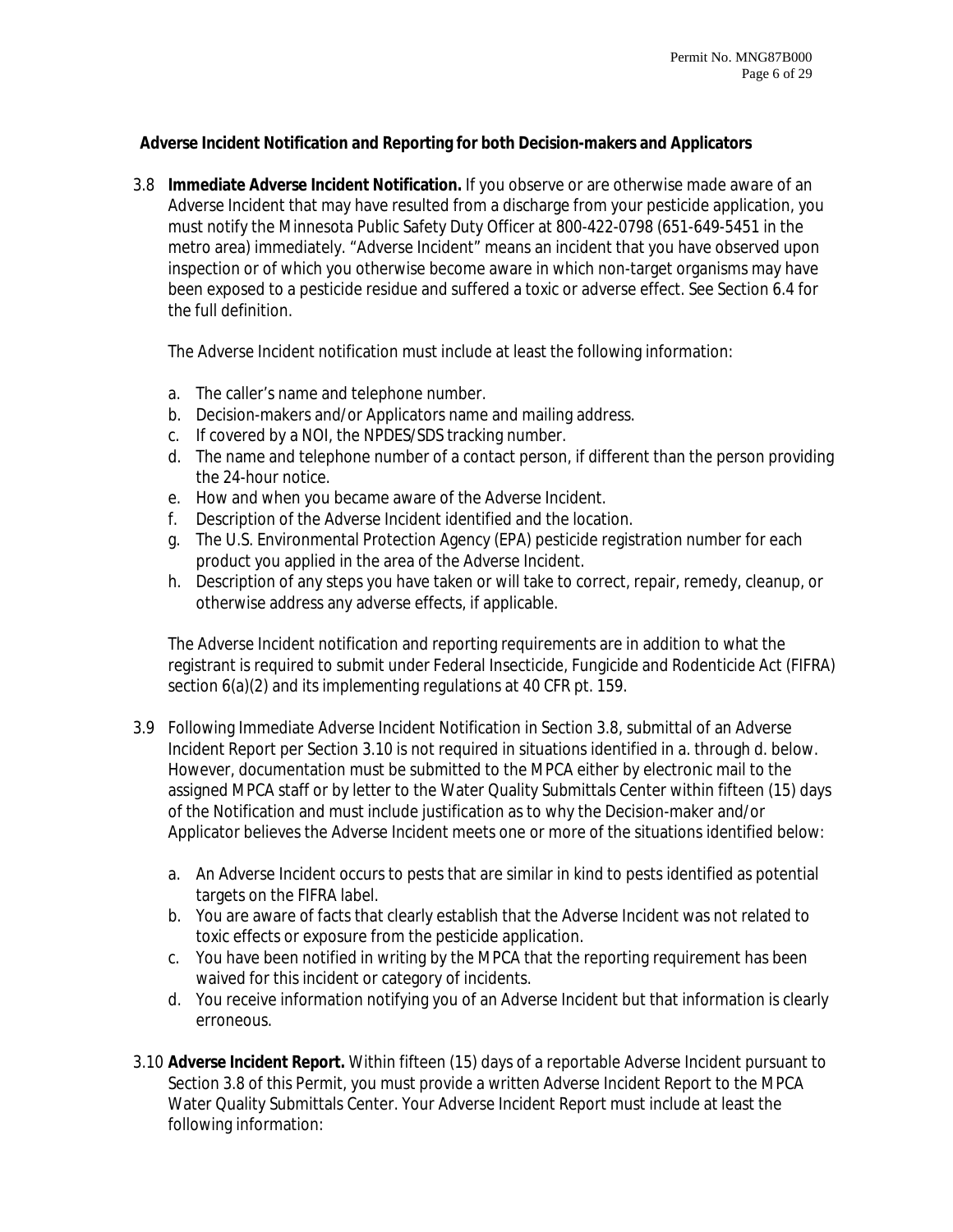## **Adverse Incident Notification and Reporting for both Decision-makers and Applicators**

3.8 **Immediate Adverse Incident Notification.** If you observe or are otherwise made aware of an Adverse Incident that may have resulted from a discharge from your pesticide application, you must notify the Minnesota Public Safety Duty Officer at 800-422-0798 (651-649-5451 in the metro area) immediately. "Adverse Incident" means an incident that you have observed upon inspection or of which you otherwise become aware in which non-target organisms may have been exposed to a pesticide residue and suffered a toxic or adverse effect. See Section 6.4 for the full definition.

The Adverse Incident notification must include at least the following information:

- a. The caller's name and telephone number.
- b. Decision-makers and/or Applicators name and mailing address.
- c. If covered by a NOI, the NPDES/SDS tracking number.
- d. The name and telephone number of a contact person, if different than the person providing the 24-hour notice.
- e. How and when you became aware of the Adverse Incident.
- f. Description of the Adverse Incident identified and the location.
- g. The U.S. Environmental Protection Agency (EPA) pesticide registration number for each product you applied in the area of the Adverse Incident.
- h. Description of any steps you have taken or will take to correct, repair, remedy, cleanup, or otherwise address any adverse effects, if applicable.

The Adverse Incident notification and reporting requirements are in addition to what the registrant is required to submit under Federal Insecticide, Fungicide and Rodenticide Act (FIFRA) section 6(a)(2) and its implementing regulations at 40 CFR pt. 159.

- 3.9 Following Immediate Adverse Incident Notification in Section 3.8, submittal of an Adverse Incident Report per Section 3.10 is not required in situations identified in a. through d. below. However, documentation must be submitted to the MPCA either by electronic mail to the assigned MPCA staff or by letter to the Water Quality Submittals Center within fifteen (15) days of the Notification and must include justification as to why the Decision-maker and/or Applicator believes the Adverse Incident meets one or more of the situations identified below:
	- a. An Adverse Incident occurs to pests that are similar in kind to pests identified as potential targets on the FIFRA label.
	- b. You are aware of facts that clearly establish that the Adverse Incident was not related to toxic effects or exposure from the pesticide application.
	- c. You have been notified in writing by the MPCA that the reporting requirement has been waived for this incident or category of incidents.
	- d. You receive information notifying you of an Adverse Incident but that information is clearly erroneous.
- 3.10 **Adverse Incident Report.** Within fifteen (15) days of a reportable Adverse Incident pursuant to Section 3.8 of this Permit, you must provide a written Adverse Incident Report to the MPCA Water Quality Submittals Center. Your Adverse Incident Report must include at least the following information: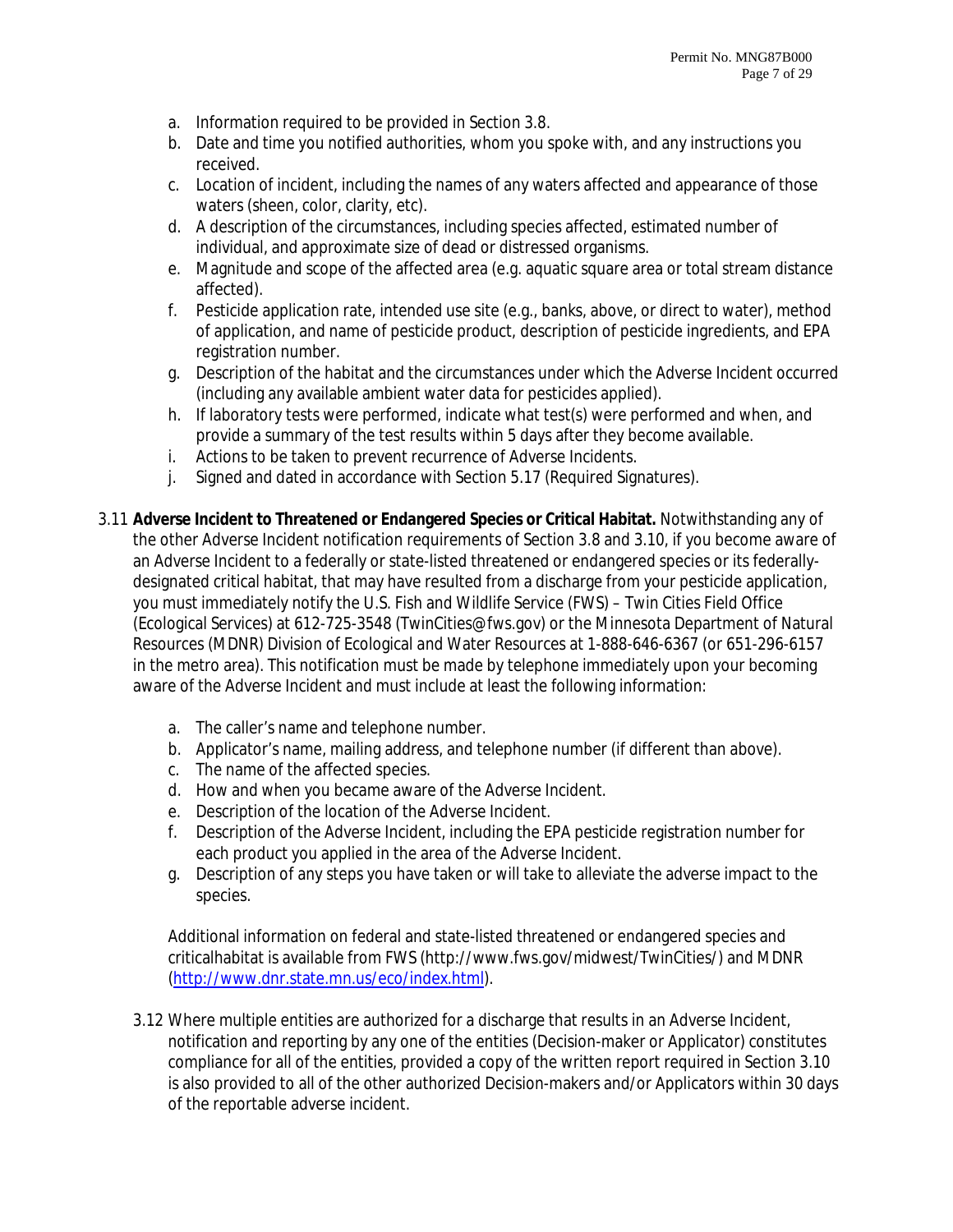- a. Information required to be provided in Section 3.8.
- b. Date and time you notified authorities, whom you spoke with, and any instructions you received.
- c. Location of incident, including the names of any waters affected and appearance of those waters (sheen, color, clarity, etc).
- d. A description of the circumstances, including species affected, estimated number of individual, and approximate size of dead or distressed organisms.
- e. Magnitude and scope of the affected area (e.g. aquatic square area or total stream distance affected).
- f. Pesticide application rate, intended use site (e.g., banks, above, or direct to water), method of application, and name of pesticide product, description of pesticide ingredients, and EPA registration number.
- g. Description of the habitat and the circumstances under which the Adverse Incident occurred (including any available ambient water data for pesticides applied).
- h. If laboratory tests were performed, indicate what test(s) were performed and when, and provide a summary of the test results within 5 days after they become available.
- i. Actions to be taken to prevent recurrence of Adverse Incidents.
- j. Signed and dated in accordance with Section 5.17 (Required Signatures).
- 3.11 **Adverse Incident to Threatened or Endangered Species or Critical Habitat.** Notwithstanding any of the other Adverse Incident notification requirements of Section 3.8 and 3.10, if you become aware of an Adverse Incident to a federally or state-listed threatened or endangered species or its federallydesignated critical habitat, that may have resulted from a discharge from your pesticide application, you must immediately notify the U.S. Fish and Wildlife Service (FWS) – Twin Cities Field Office (Ecological Services) at 612-725-3548 (TwinCities@fws.gov) or the Minnesota Department of Natural Resources (MDNR) Division of Ecological and Water Resources at 1-888-646-6367 (or 651-296-6157 in the metro area). This notification must be made by telephone immediately upon your becoming aware of the Adverse Incident and must include at least the following information:
	- a. The caller's name and telephone number.
	- b. Applicator's name, mailing address, and telephone number (if different than above).
	- c. The name of the affected species.
	- d. How and when you became aware of the Adverse Incident.
	- e. Description of the location of the Adverse Incident.
	- f. Description of the Adverse Incident, including the EPA pesticide registration number for each product you applied in the area of the Adverse Incident.
	- g. Description of any steps you have taken or will take to alleviate the adverse impact to the species.

Additional information on federal and state-listed threatened or endangered species and criticalhabitat is available from FWS (http://www.fws.gov/midwest/TwinCities/) and MDNR (http://www.dnr.state.mn.us/eco/index.html).

3.12 Where multiple entities are authorized for a discharge that results in an Adverse Incident, notification and reporting by any one of the entities (Decision-maker or Applicator) constitutes compliance for all of the entities, provided a copy of the written report required in Section 3.10 is also provided to all of the other authorized Decision-makers and/or Applicators within 30 days of the reportable adverse incident.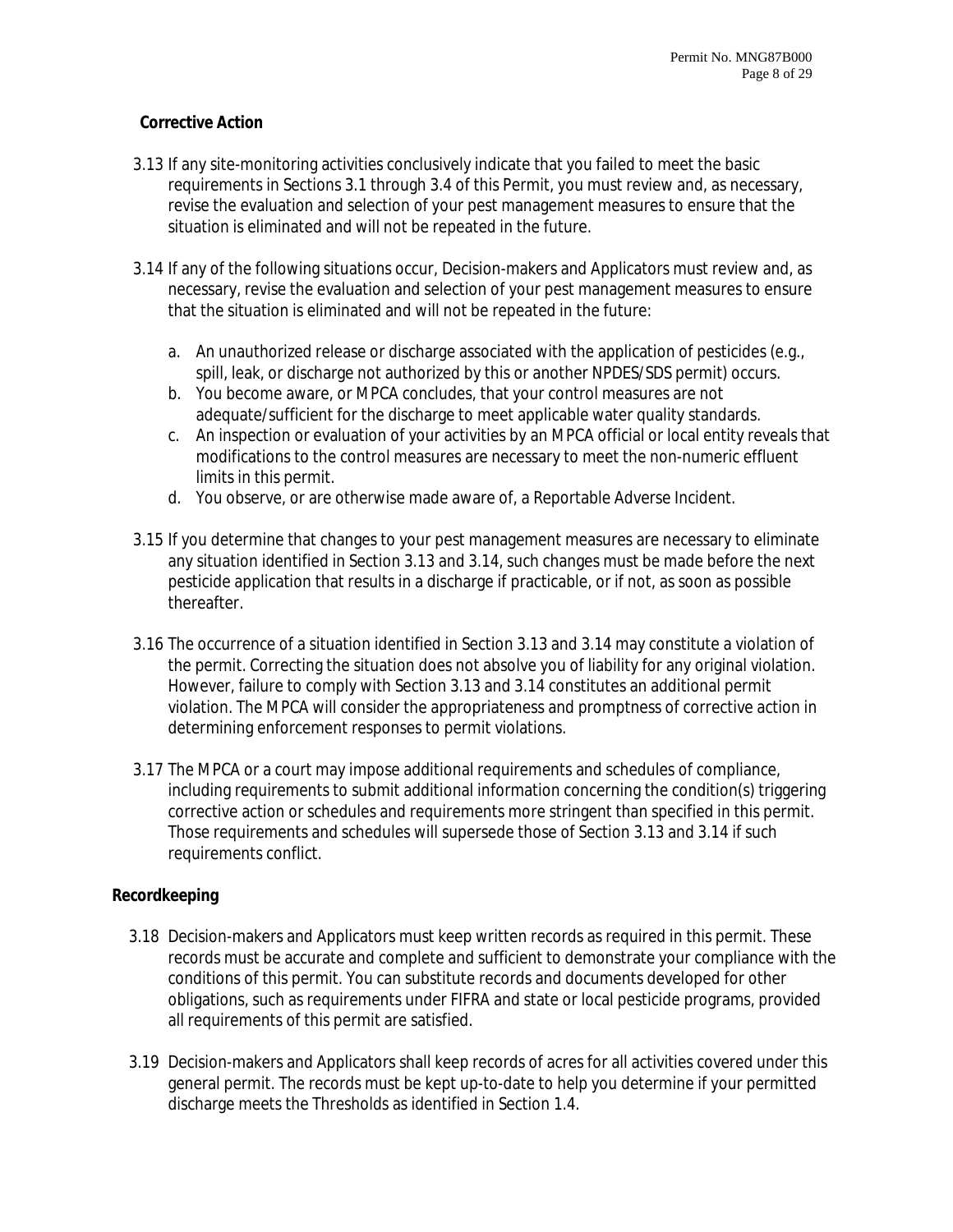## **Corrective Action**

- 3.13 If any site-monitoring activities conclusively indicate that you failed to meet the basic requirements in Sections 3.1 through 3.4 of this Permit, you must review and, as necessary, revise the evaluation and selection of your pest management measures to ensure that the situation is eliminated and will not be repeated in the future.
- 3.14 If any of the following situations occur, Decision-makers and Applicators must review and, as necessary, revise the evaluation and selection of your pest management measures to ensure that the situation is eliminated and will not be repeated in the future:
	- a. An unauthorized release or discharge associated with the application of pesticides (e.g., spill, leak, or discharge not authorized by this or another NPDES/SDS permit) occurs.
	- b. You become aware, or MPCA concludes, that your control measures are not adequate/sufficient for the discharge to meet applicable water quality standards.
	- c. An inspection or evaluation of your activities by an MPCA official or local entity reveals that modifications to the control measures are necessary to meet the non-numeric effluent limits in this permit.
	- d. You observe, or are otherwise made aware of, a Reportable Adverse Incident.
- 3.15 If you determine that changes to your pest management measures are necessary to eliminate any situation identified in Section 3.13 and 3.14, such changes must be made before the next pesticide application that results in a discharge if practicable, or if not, as soon as possible thereafter.
- 3.16 The occurrence of a situation identified in Section 3.13 and 3.14 may constitute a violation of the permit. Correcting the situation does not absolve you of liability for any original violation. However, failure to comply with Section 3.13 and 3.14 constitutes an additional permit violation. The MPCA will consider the appropriateness and promptness of corrective action in determining enforcement responses to permit violations.
- 3.17 The MPCA or a court may impose additional requirements and schedules of compliance, including requirements to submit additional information concerning the condition(s) triggering corrective action or schedules and requirements more stringent than specified in this permit. Those requirements and schedules will supersede those of Section 3.13 and 3.14 if such requirements conflict.

# **Recordkeeping**

- 3.18 Decision-makers and Applicators must keep written records as required in this permit. These records must be accurate and complete and sufficient to demonstrate your compliance with the conditions of this permit. You can substitute records and documents developed for other obligations, such as requirements under FIFRA and state or local pesticide programs, provided all requirements of this permit are satisfied.
- 3.19 Decision-makers and Applicators shall keep records of acres for all activities covered under this general permit. The records must be kept up-to-date to help you determine if your permitted discharge meets the Thresholds as identified in Section 1.4.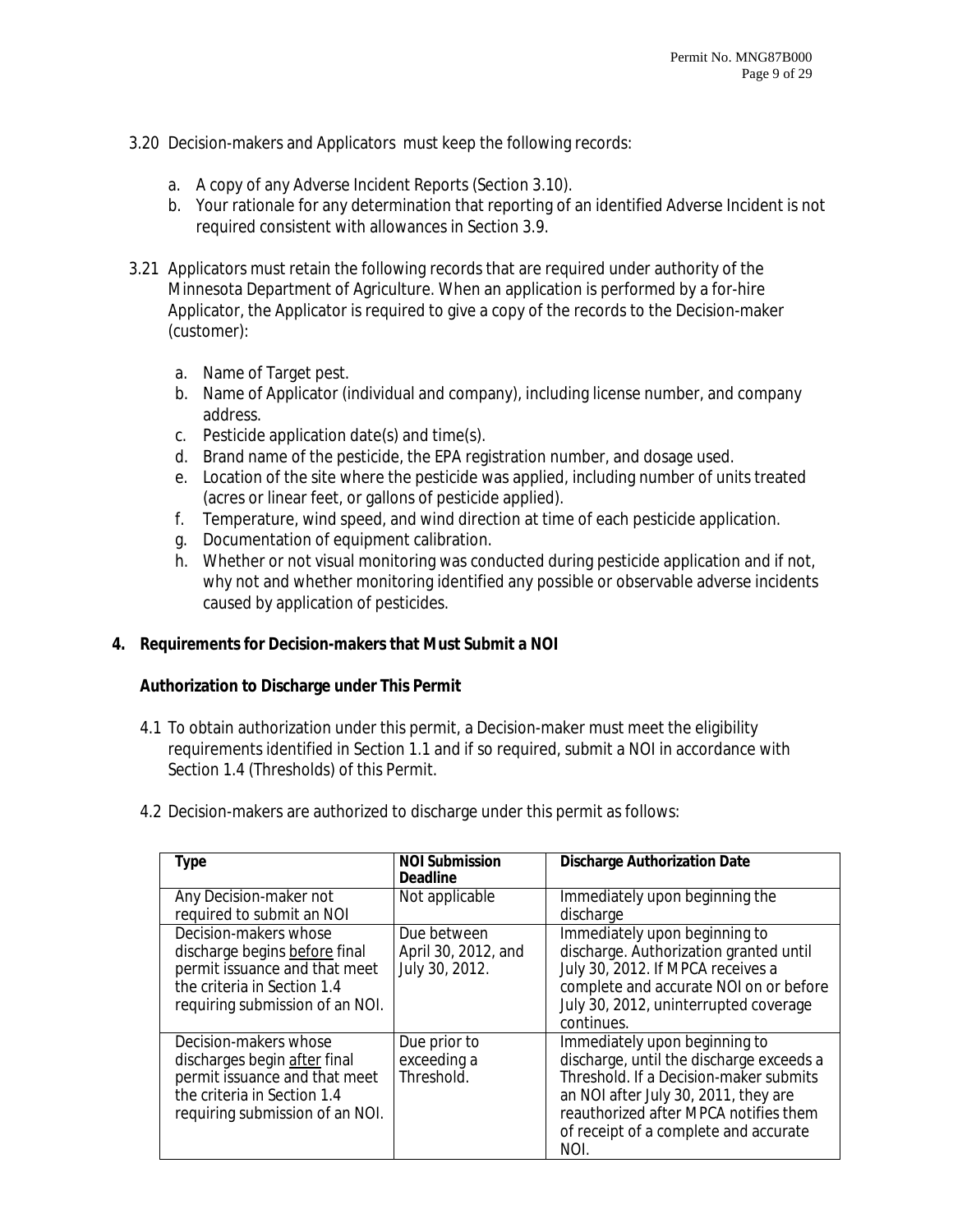- 3.20 Decision-makers and Applicators must keep the following records:
	- a. A copy of any Adverse Incident Reports (Section 3.10).
	- b. Your rationale for any determination that reporting of an identified Adverse Incident is not required consistent with allowances in Section 3.9.
- 3.21 Applicators must retain the following records that are required under authority of the Minnesota Department of Agriculture. When an application is performed by a for-hire Applicator, the Applicator is required to give a copy of the records to the Decision-maker (customer):
	- a. Name of Target pest.
	- b. Name of Applicator (individual and company), including license number, and company address.
	- c. Pesticide application date(s) and time(s).
	- d. Brand name of the pesticide, the EPA registration number, and dosage used.
	- e. Location of the site where the pesticide was applied, including number of units treated (acres or linear feet, or gallons of pesticide applied).
	- f. Temperature, wind speed, and wind direction at time of each pesticide application.
	- g. Documentation of equipment calibration.
	- h. Whether or not visual monitoring was conducted during pesticide application and if not, why not and whether monitoring identified any possible or observable adverse incidents caused by application of pesticides.

# **4. Requirements for Decision-makers that Must Submit a NOI**

#### **Authorization to Discharge under This Permit**

- 4.1 To obtain authorization under this permit, a Decision-maker must meet the eligibility requirements identified in Section 1.1 and if so required, submit a NOI in accordance with Section 1.4 (Thresholds) of this Permit.
- 4.2 Decision-makers are authorized to discharge under this permit as follows:

| <b>Type</b>                                                                                                                                               | <b>NOI Submission</b><br><b>Deadline</b>             | <b>Discharge Authorization Date</b>                                                                                                                                                                                                                   |
|-----------------------------------------------------------------------------------------------------------------------------------------------------------|------------------------------------------------------|-------------------------------------------------------------------------------------------------------------------------------------------------------------------------------------------------------------------------------------------------------|
| Any Decision-maker not<br>required to submit an NOI                                                                                                       | Not applicable                                       | Immediately upon beginning the<br>discharge                                                                                                                                                                                                           |
| Decision-makers whose<br>discharge begins before final<br>permit issuance and that meet<br>the criteria in Section 1.4<br>requiring submission of an NOI. | Due between<br>April 30, 2012, and<br>July 30, 2012. | Immediately upon beginning to<br>discharge. Authorization granted until<br>July 30, 2012. If MPCA receives a<br>complete and accurate NOI on or before<br>July 30, 2012, uninterrupted coverage<br>continues.                                         |
| Decision-makers whose<br>discharges begin after final<br>permit issuance and that meet<br>the criteria in Section 1.4<br>requiring submission of an NOI.  | Due prior to<br>exceeding a<br>Threshold.            | Immediately upon beginning to<br>discharge, until the discharge exceeds a<br>Threshold. If a Decision-maker submits<br>an NOI after July 30, 2011, they are<br>reauthorized after MPCA notifies them<br>of receipt of a complete and accurate<br>NOI. |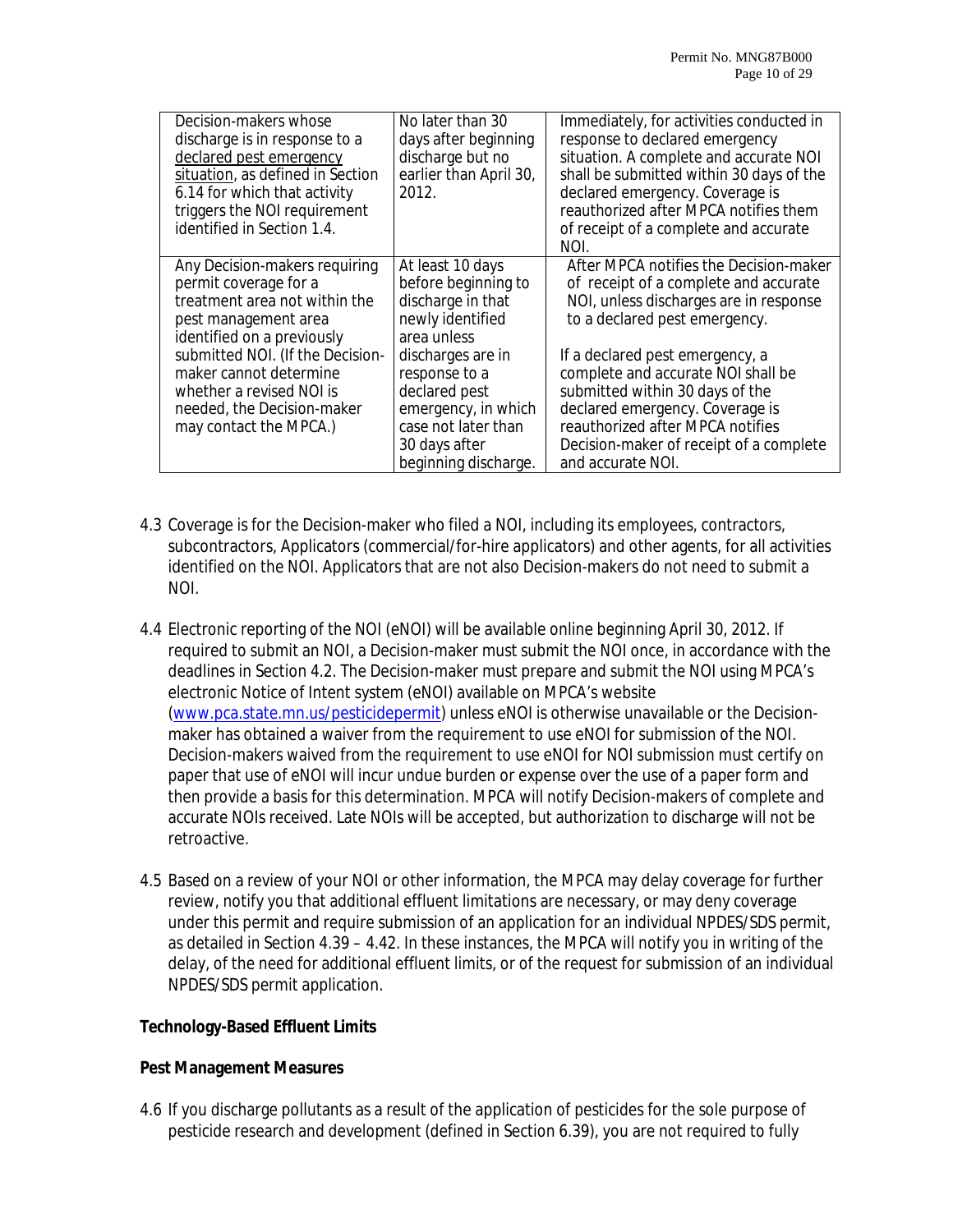| Decision-makers whose<br>discharge is in response to a<br>declared pest emergency<br>situation, as defined in Section<br>6.14 for which that activity<br>triggers the NOI requirement<br>identified in Section 1.4.                                                                             | No later than 30<br>days after beginning<br>discharge but no<br>earlier than April 30,<br>2012.                                                                                                                                               | Immediately, for activities conducted in<br>response to declared emergency<br>situation. A complete and accurate NOI<br>shall be submitted within 30 days of the<br>declared emergency. Coverage is<br>reauthorized after MPCA notifies them<br>of receipt of a complete and accurate<br>NOI.                                                                                                                 |
|-------------------------------------------------------------------------------------------------------------------------------------------------------------------------------------------------------------------------------------------------------------------------------------------------|-----------------------------------------------------------------------------------------------------------------------------------------------------------------------------------------------------------------------------------------------|---------------------------------------------------------------------------------------------------------------------------------------------------------------------------------------------------------------------------------------------------------------------------------------------------------------------------------------------------------------------------------------------------------------|
| Any Decision-makers requiring<br>permit coverage for a<br>treatment area not within the<br>pest management area<br>identified on a previously<br>submitted NOI. (If the Decision-<br>maker cannot determine<br>whether a revised NOI is<br>needed, the Decision-maker<br>may contact the MPCA.) | At least 10 days<br>before beginning to<br>discharge in that<br>newly identified<br>area unless<br>discharges are in<br>response to a<br>declared pest<br>emergency, in which<br>case not later than<br>30 days after<br>beginning discharge. | After MPCA notifies the Decision-maker<br>of receipt of a complete and accurate<br>NOI, unless discharges are in response<br>to a declared pest emergency.<br>If a declared pest emergency, a<br>complete and accurate NOI shall be<br>submitted within 30 days of the<br>declared emergency. Coverage is<br>reauthorized after MPCA notifies<br>Decision-maker of receipt of a complete<br>and accurate NOI. |

- 4.3 Coverage is for the Decision-maker who filed a NOI, including its employees, contractors, subcontractors, Applicators (commercial/for-hire applicators) and other agents, for all activities identified on the NOI. Applicators that are not also Decision-makers do not need to submit a NOI.
- 4.4 Electronic reporting of the NOI (eNOI) will be available online beginning April 30, 2012. If required to submit an NOI, a Decision-maker must submit the NOI once, in accordance with the deadlines in Section 4.2. The Decision-maker must prepare and submit the NOI using MPCA's electronic Notice of Intent system (eNOI) available on MPCA's website (www.pca.state.mn.us/pesticidepermit) unless eNOI is otherwise unavailable or the Decisionmaker has obtained a waiver from the requirement to use eNOI for submission of the NOI. Decision-makers waived from the requirement to use eNOI for NOI submission must certify on paper that use of eNOI will incur undue burden or expense over the use of a paper form and then provide a basis for this determination. MPCA will notify Decision-makers of complete and accurate NOIs received. Late NOIs will be accepted, but authorization to discharge will not be retroactive.
- 4.5 Based on a review of your NOI or other information, the MPCA may delay coverage for further review, notify you that additional effluent limitations are necessary, or may deny coverage under this permit and require submission of an application for an individual NPDES/SDS permit, as detailed in Section 4.39 – 4.42. In these instances, the MPCA will notify you in writing of the delay, of the need for additional effluent limits, or of the request for submission of an individual NPDES/SDS permit application.

#### **Technology-Based Effluent Limits**

#### **Pest Management Measures**

4.6 If you discharge pollutants as a result of the application of pesticides for the sole purpose of pesticide research and development (defined in Section 6.39), you are not required to fully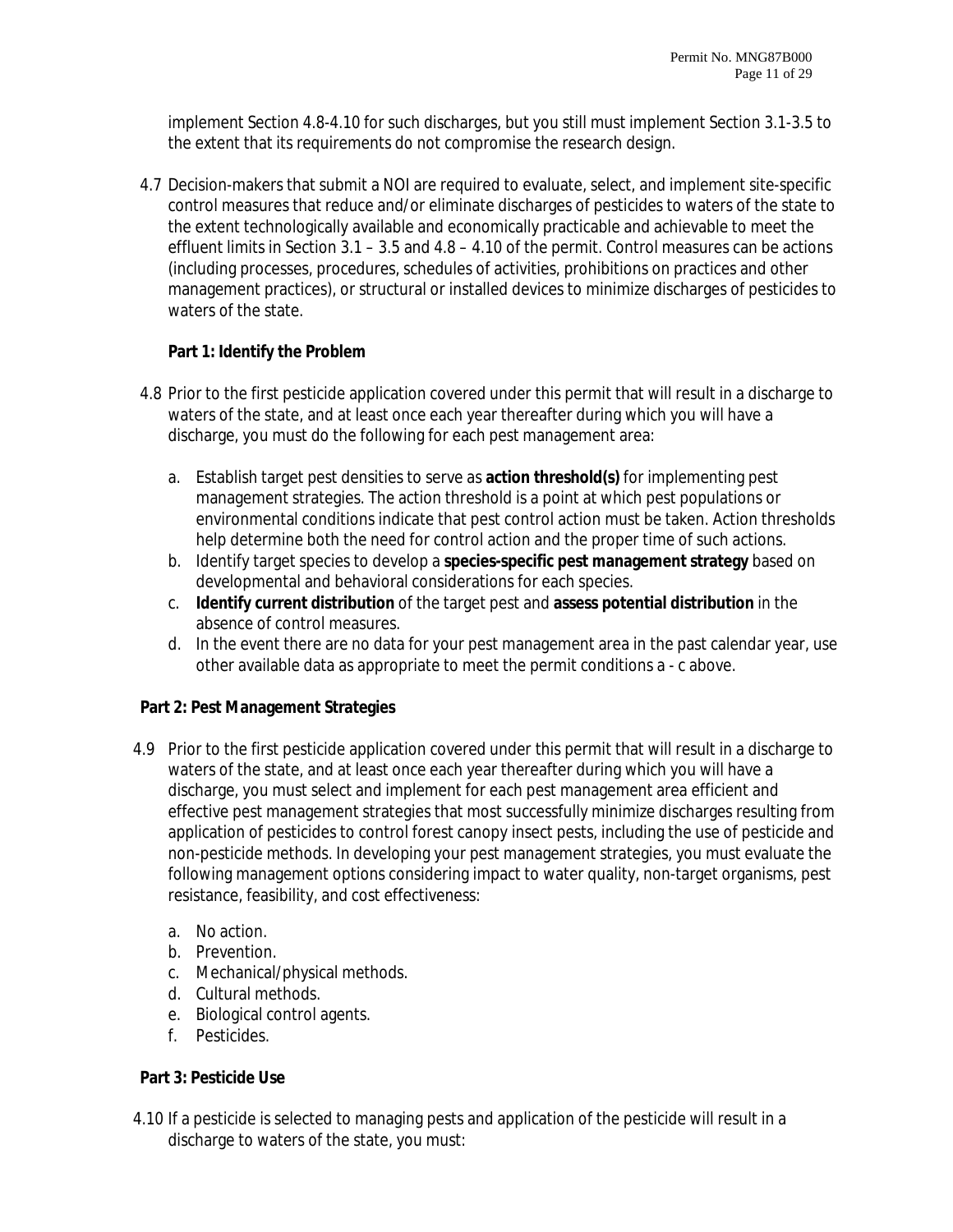implement Section 4.8-4.10 for such discharges, but you still must implement Section 3.1-3.5 to the extent that its requirements do not compromise the research design.

4.7 Decision-makers that submit a NOI are required to evaluate, select, and implement site-specific control measures that reduce and/or eliminate discharges of pesticides to waters of the state to the extent technologically available and economically practicable and achievable to meet the effluent limits in Section 3.1 – 3.5 and 4.8 – 4.10 of the permit. Control measures can be actions (including processes, procedures, schedules of activities, prohibitions on practices and other management practices), or structural or installed devices to minimize discharges of pesticides to waters of the state.

# **Part 1: Identify the Problem**

- 4.8 Prior to the first pesticide application covered under this permit that will result in a discharge to waters of the state, and at least once each year thereafter during which you will have a discharge, you must do the following for each pest management area:
	- a. Establish target pest densities to serve as **action threshold(s)** for implementing pest management strategies. The action threshold is a point at which pest populations or environmental conditions indicate that pest control action must be taken. Action thresholds help determine both the need for control action and the proper time of such actions.
	- b. Identify target species to develop a **species-specific pest management strategy** based on developmental and behavioral considerations for each species.
	- c. **Identify current distribution** of the target pest and **assess potential distribution** in the absence of control measures.
	- d. In the event there are no data for your pest management area in the past calendar year, use other available data as appropriate to meet the permit conditions a - c above.

# **Part 2: Pest Management Strategies**

- 4.9 Prior to the first pesticide application covered under this permit that will result in a discharge to waters of the state, and at least once each year thereafter during which you will have a discharge, you must select and implement for each pest management area efficient and effective pest management strategies that most successfully minimize discharges resulting from application of pesticides to control forest canopy insect pests, including the use of pesticide and non-pesticide methods. In developing your pest management strategies, you must evaluate the following management options considering impact to water quality, non-target organisms, pest resistance, feasibility, and cost effectiveness:
	- a. No action.
	- b. Prevention.
	- c. Mechanical/physical methods.
	- d. Cultural methods.
	- e. Biological control agents.
	- f. Pesticides.

# **Part 3: Pesticide Use**

4.10 If a pesticide is selected to managing pests and application of the pesticide will result in a discharge to waters of the state, you must: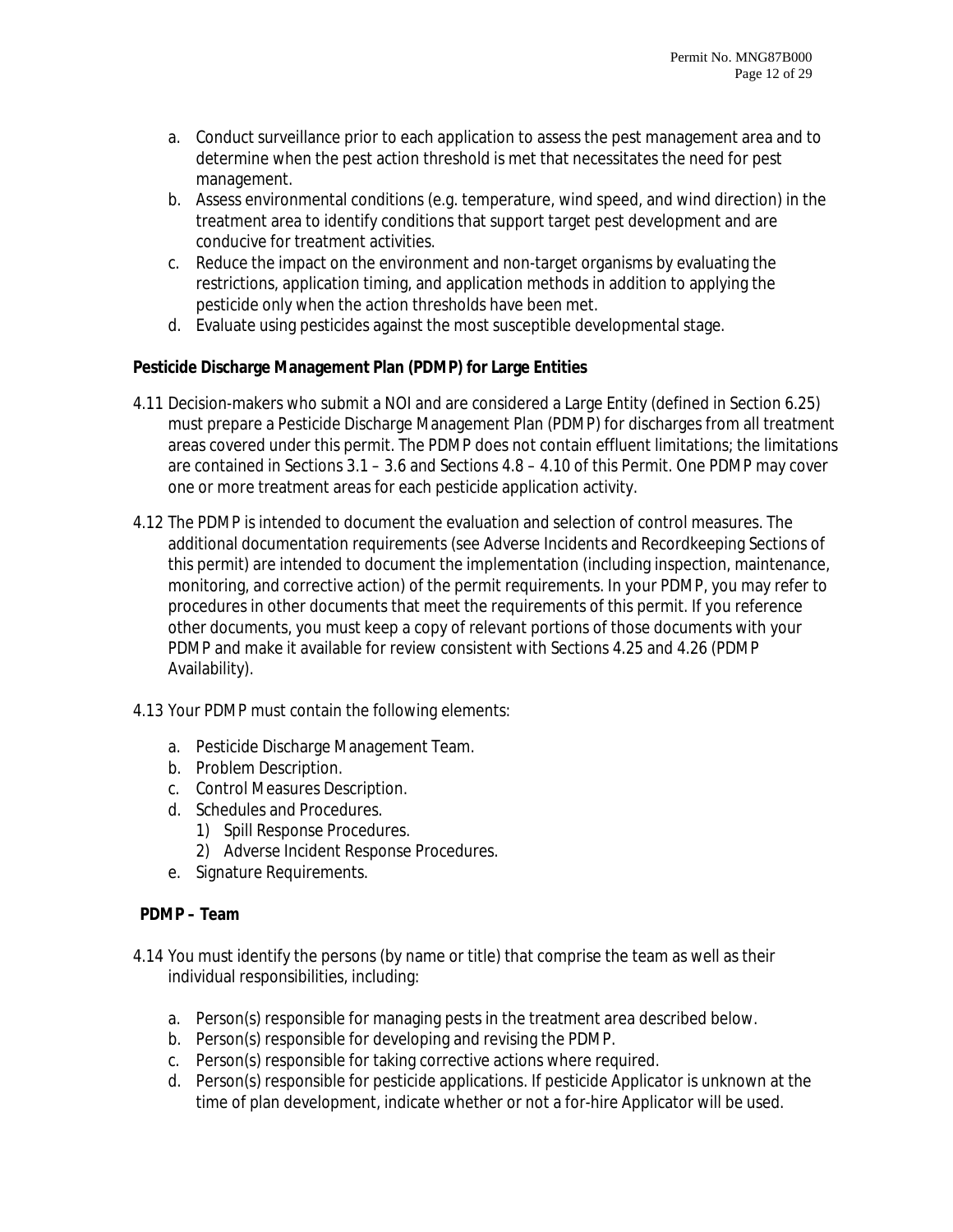- a. Conduct surveillance prior to each application to assess the pest management area and to determine when the pest action threshold is met that necessitates the need for pest management.
- b. Assess environmental conditions (e.g. temperature, wind speed, and wind direction) in the treatment area to identify conditions that support target pest development and are conducive for treatment activities.
- c. Reduce the impact on the environment and non-target organisms by evaluating the restrictions, application timing, and application methods in addition to applying the pesticide only when the action thresholds have been met.
- d. Evaluate using pesticides against the most susceptible developmental stage.

# **Pesticide Discharge Management Plan (PDMP) for Large Entities**

- 4.11 Decision-makers who submit a NOI and are considered a Large Entity (defined in Section 6.25) must prepare a Pesticide Discharge Management Plan (PDMP) for discharges from all treatment areas covered under this permit. The PDMP does not contain effluent limitations; the limitations are contained in Sections 3.1 – 3.6 and Sections 4.8 – 4.10 of this Permit. One PDMP may cover one or more treatment areas for each pesticide application activity.
- 4.12 The PDMP is intended to document the evaluation and selection of control measures. The additional documentation requirements (see Adverse Incidents and Recordkeeping Sections of this permit) are intended to document the implementation (including inspection, maintenance, monitoring, and corrective action) of the permit requirements. In your PDMP, you may refer to procedures in other documents that meet the requirements of this permit. If you reference other documents, you must keep a copy of relevant portions of those documents with your PDMP and make it available for review consistent with Sections 4.25 and 4.26 (PDMP Availability).
- 4.13 Your PDMP must contain the following elements:
	- a. Pesticide Discharge Management Team.
	- b. Problem Description.
	- c. Control Measures Description.
	- d. Schedules and Procedures.
		- 1) Spill Response Procedures.
		- 2) Adverse Incident Response Procedures.
	- e. Signature Requirements.

#### **PDMP – Team**

- 4.14 You must identify the persons (by name or title) that comprise the team as well as their individual responsibilities, including:
	- a. Person(s) responsible for managing pests in the treatment area described below.
	- b. Person(s) responsible for developing and revising the PDMP.
	- c. Person(s) responsible for taking corrective actions where required.
	- d. Person(s) responsible for pesticide applications. If pesticide Applicator is unknown at the time of plan development, indicate whether or not a for-hire Applicator will be used.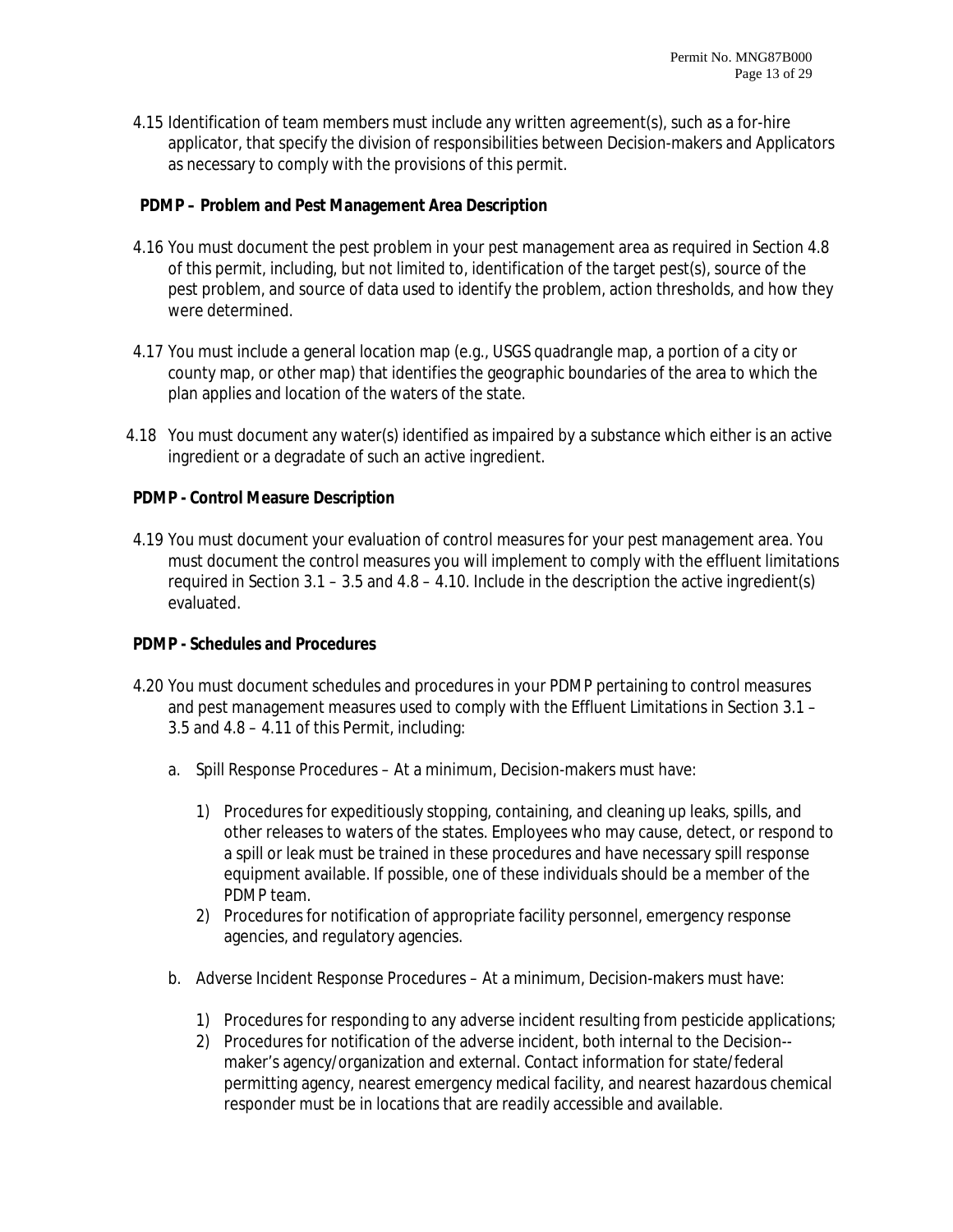4.15 Identification of team members must include any written agreement(s), such as a for-hire applicator, that specify the division of responsibilities between Decision-makers and Applicators as necessary to comply with the provisions of this permit.

## **PDMP – Problem and Pest Management Area Description**

- 4.16 You must document the pest problem in your pest management area as required in Section 4.8 of this permit, including, but not limited to, identification of the target pest(s), source of the pest problem, and source of data used to identify the problem, action thresholds, and how they were determined.
- 4.17 You must include a general location map (e.g., USGS quadrangle map, a portion of a city or county map, or other map) that identifies the geographic boundaries of the area to which the plan applies and location of the waters of the state.
- 4.18 You must document any water(s) identified as impaired by a substance which either is an active ingredient or a degradate of such an active ingredient.

#### **PDMP - Control Measure Description**

4.19 You must document your evaluation of control measures for your pest management area. You must document the control measures you will implement to comply with the effluent limitations required in Section 3.1 – 3.5 and 4.8 – 4.10. Include in the description the active ingredient(s) evaluated.

#### **PDMP - Schedules and Procedures**

- 4.20 You must document schedules and procedures in your PDMP pertaining to control measures and pest management measures used to comply with the Effluent Limitations in Section 3.1 – 3.5 and 4.8 – 4.11 of this Permit, including:
	- a. Spill Response Procedures At a minimum, Decision-makers must have:
		- 1) Procedures for expeditiously stopping, containing, and cleaning up leaks, spills, and other releases to waters of the states. Employees who may cause, detect, or respond to a spill or leak must be trained in these procedures and have necessary spill response equipment available. If possible, one of these individuals should be a member of the PDMP team.
		- 2) Procedures for notification of appropriate facility personnel, emergency response agencies, and regulatory agencies.
	- b. Adverse Incident Response Procedures At a minimum, Decision-makers must have:
		- 1) Procedures for responding to any adverse incident resulting from pesticide applications;
		- 2) Procedures for notification of the adverse incident, both internal to the Decision- maker's agency/organization and external. Contact information for state/federal permitting agency, nearest emergency medical facility, and nearest hazardous chemical responder must be in locations that are readily accessible and available.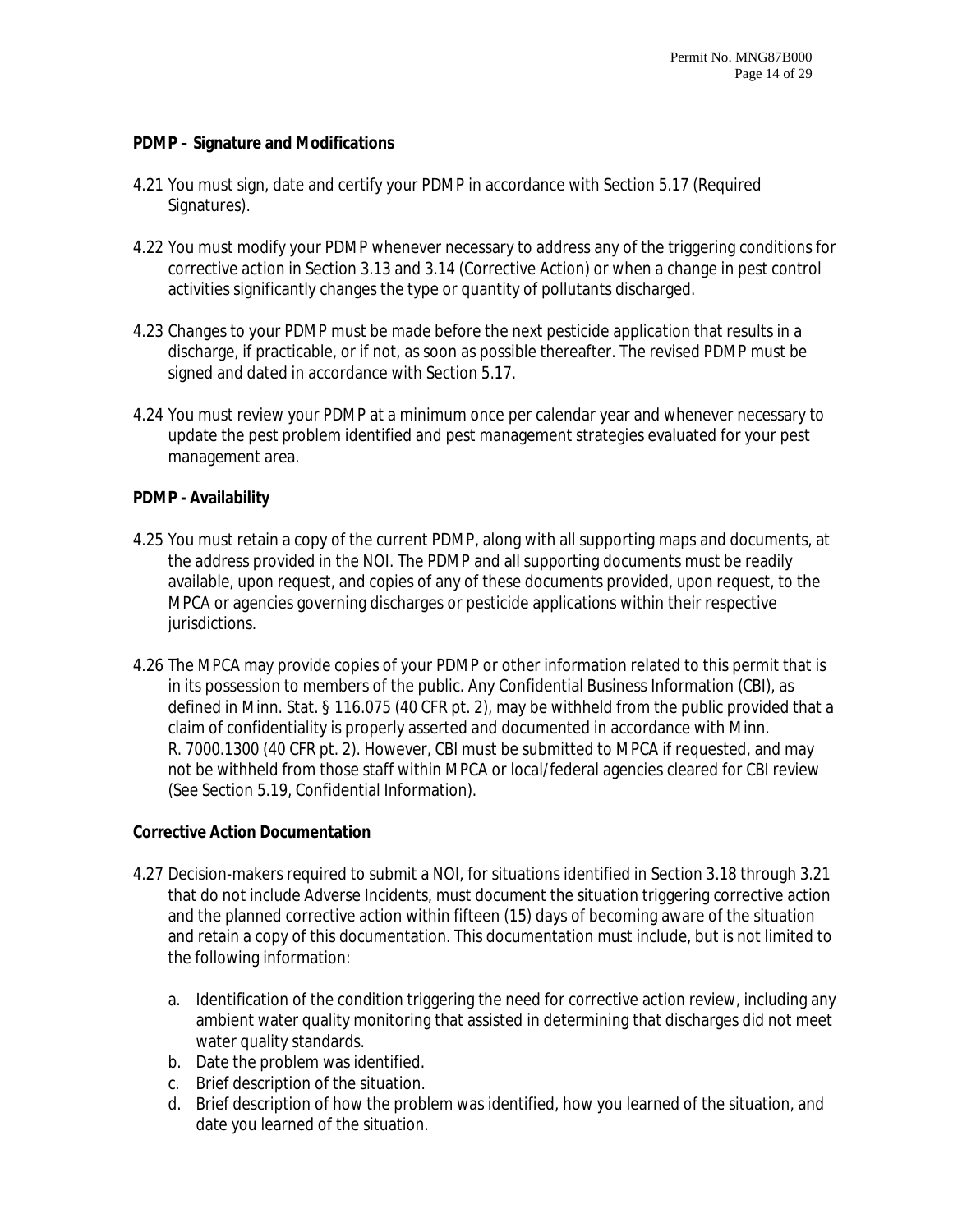#### **PDMP – Signature and Modifications**

- 4.21 You must sign, date and certify your PDMP in accordance with Section 5.17 (Required Signatures).
- 4.22 You must modify your PDMP whenever necessary to address any of the triggering conditions for corrective action in Section 3.13 and 3.14 (Corrective Action) or when a change in pest control activities significantly changes the type or quantity of pollutants discharged.
- 4.23 Changes to your PDMP must be made before the next pesticide application that results in a discharge, if practicable, or if not, as soon as possible thereafter. The revised PDMP must be signed and dated in accordance with Section 5.17.
- 4.24 You must review your PDMP at a minimum once per calendar year and whenever necessary to update the pest problem identified and pest management strategies evaluated for your pest management area.

#### **PDMP - Availability**

- 4.25 You must retain a copy of the current PDMP, along with all supporting maps and documents, at the address provided in the NOI. The PDMP and all supporting documents must be readily available, upon request, and copies of any of these documents provided, upon request, to the MPCA or agencies governing discharges or pesticide applications within their respective jurisdictions.
- 4.26 The MPCA may provide copies of your PDMP or other information related to this permit that is in its possession to members of the public. Any Confidential Business Information (CBI), as defined in Minn. Stat. § 116.075 (40 CFR pt. 2), may be withheld from the public provided that a claim of confidentiality is properly asserted and documented in accordance with Minn. R. 7000.1300 (40 CFR pt. 2). However, CBI must be submitted to MPCA if requested, and may not be withheld from those staff within MPCA or local/federal agencies cleared for CBI review (See Section 5.19, Confidential Information).

#### **Corrective Action Documentation**

- 4.27 Decision-makers required to submit a NOI, for situations identified in Section 3.18 through 3.21 that do not include Adverse Incidents, must document the situation triggering corrective action and the planned corrective action within fifteen (15) days of becoming aware of the situation and retain a copy of this documentation. This documentation must include, but is not limited to the following information:
	- a. Identification of the condition triggering the need for corrective action review, including any ambient water quality monitoring that assisted in determining that discharges did not meet water quality standards.
	- b. Date the problem was identified.
	- c. Brief description of the situation.
	- d. Brief description of how the problem was identified, how you learned of the situation, and date you learned of the situation.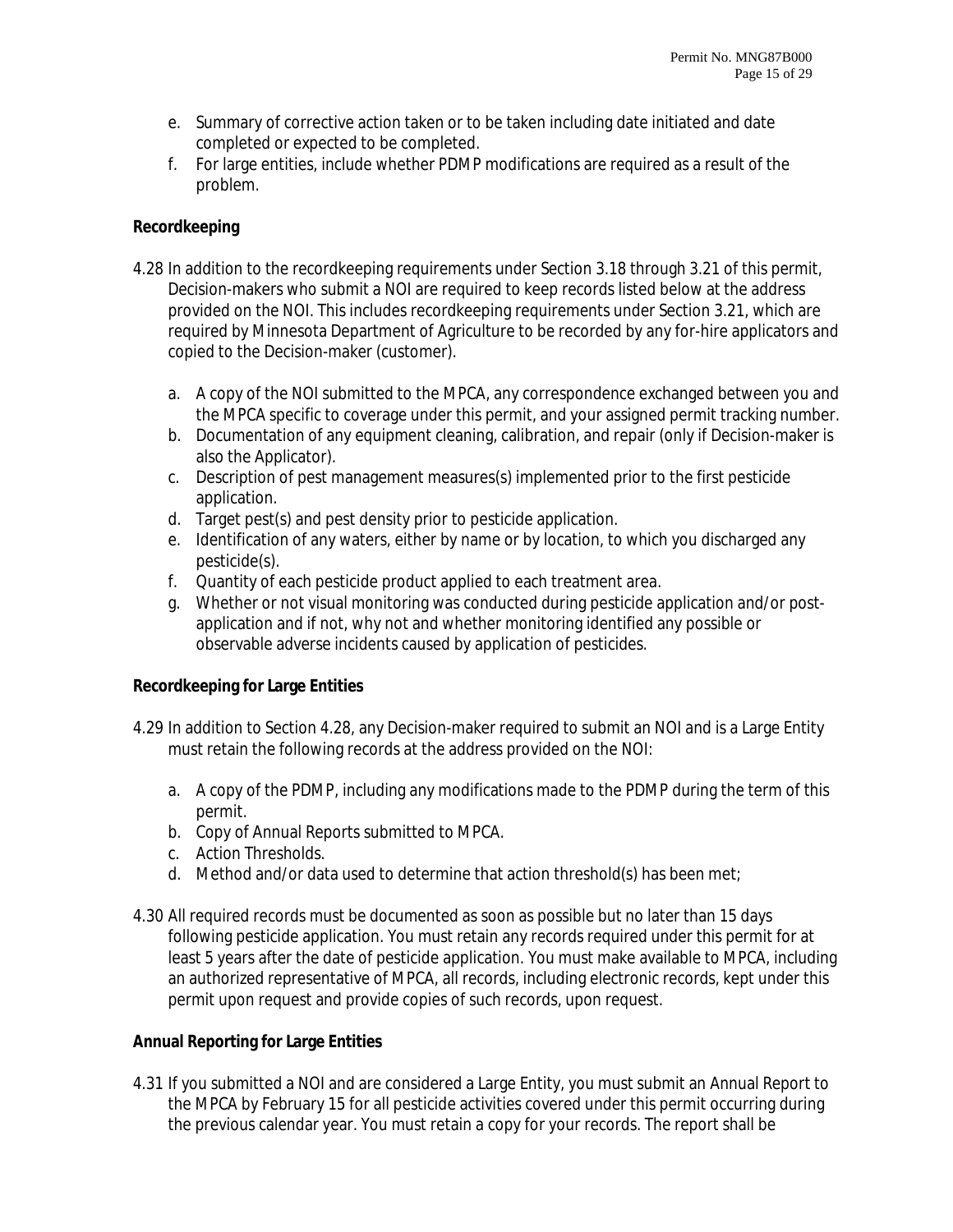- e. Summary of corrective action taken or to be taken including date initiated and date completed or expected to be completed.
- f. For large entities, include whether PDMP modifications are required as a result of the problem.

## **Recordkeeping**

- 4.28 In addition to the recordkeeping requirements under Section 3.18 through 3.21 of this permit, Decision-makers who submit a NOI are required to keep records listed below at the address provided on the NOI. This includes recordkeeping requirements under Section 3.21, which are required by Minnesota Department of Agriculture to be recorded by any for-hire applicators and copied to the Decision-maker (customer).
	- a. A copy of the NOI submitted to the MPCA, any correspondence exchanged between you and the MPCA specific to coverage under this permit, and your assigned permit tracking number.
	- b. Documentation of any equipment cleaning, calibration, and repair (only if Decision-maker is also the Applicator).
	- c. Description of pest management measures(s) implemented prior to the first pesticide application.
	- d. Target pest(s) and pest density prior to pesticide application.
	- e. Identification of any waters, either by name or by location, to which you discharged any pesticide(s).
	- f. Quantity of each pesticide product applied to each treatment area.
	- g. Whether or not visual monitoring was conducted during pesticide application and/or postapplication and if not, why not and whether monitoring identified any possible or observable adverse incidents caused by application of pesticides.

# **Recordkeeping for Large Entities**

- 4.29 In addition to Section 4.28, any Decision-maker required to submit an NOI and is a Large Entity must retain the following records at the address provided on the NOI:
	- a. A copy of the PDMP, including any modifications made to the PDMP during the term of this permit.
	- b. Copy of Annual Reports submitted to MPCA.
	- c. Action Thresholds.
	- d. Method and/or data used to determine that action threshold(s) has been met;
- 4.30 All required records must be documented as soon as possible but no later than 15 days following pesticide application. You must retain any records required under this permit for at least 5 years after the date of pesticide application. You must make available to MPCA, including an authorized representative of MPCA, all records, including electronic records, kept under this permit upon request and provide copies of such records, upon request.

# **Annual Reporting for Large Entities**

4.31 If you submitted a NOI and are considered a Large Entity, you must submit an Annual Report to the MPCA by February 15 for all pesticide activities covered under this permit occurring during the previous calendar year. You must retain a copy for your records. The report shall be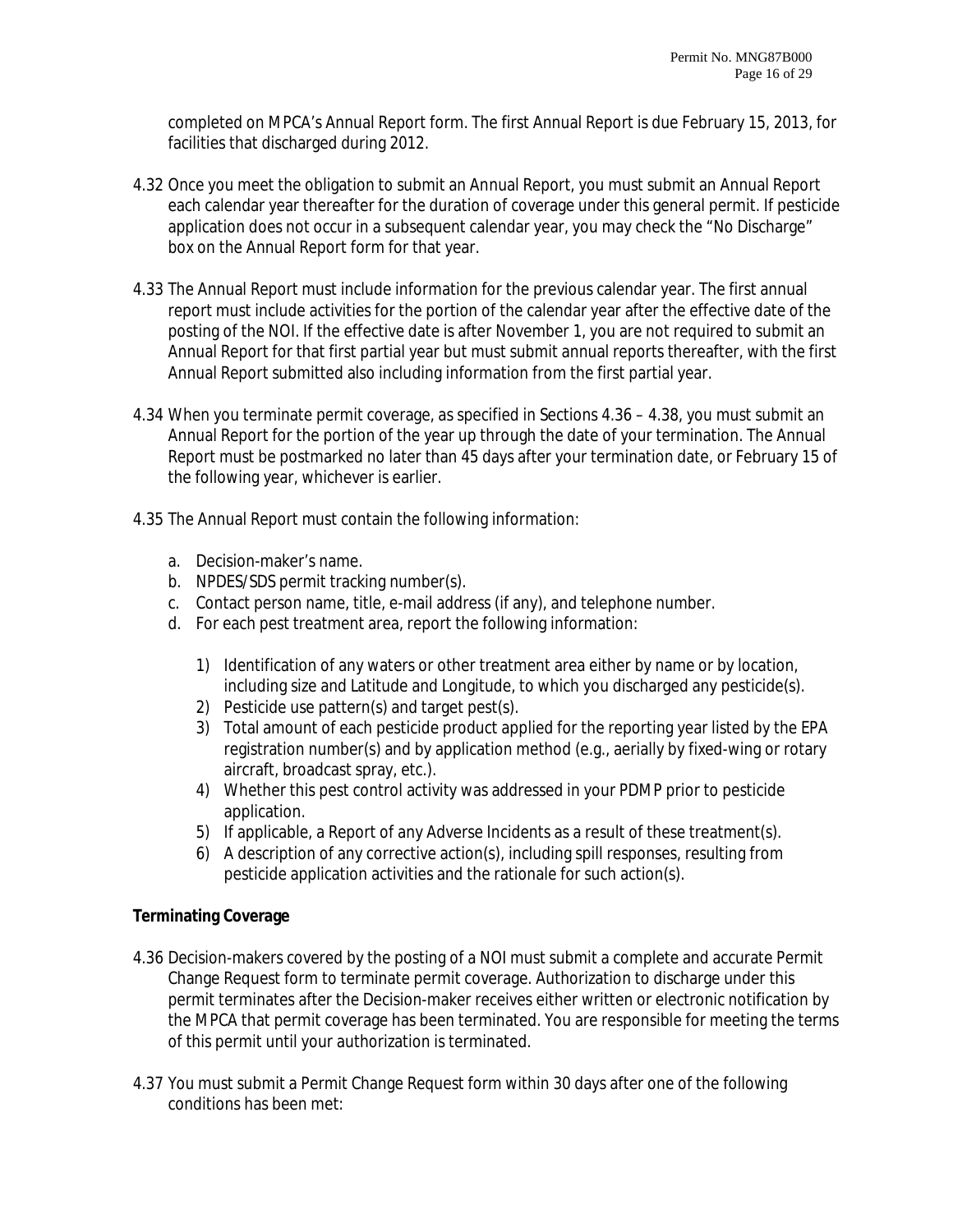completed on MPCA's Annual Report form. The first Annual Report is due February 15, 2013, for facilities that discharged during 2012.

- 4.32 Once you meet the obligation to submit an Annual Report, you must submit an Annual Report each calendar year thereafter for the duration of coverage under this general permit. If pesticide application does not occur in a subsequent calendar year, you may check the "No Discharge" box on the Annual Report form for that year.
- 4.33 The Annual Report must include information for the previous calendar year. The first annual report must include activities for the portion of the calendar year after the effective date of the posting of the NOI. If the effective date is after November 1, you are not required to submit an Annual Report for that first partial year but must submit annual reports thereafter, with the first Annual Report submitted also including information from the first partial year.
- 4.34 When you terminate permit coverage, as specified in Sections 4.36 4.38, you must submit an Annual Report for the portion of the year up through the date of your termination. The Annual Report must be postmarked no later than 45 days after your termination date, or February 15 of the following year, whichever is earlier.
- 4.35 The Annual Report must contain the following information:
	- a. Decision-maker's name.
	- b. NPDES/SDS permit tracking number(s).
	- c. Contact person name, title, e-mail address (if any), and telephone number.
	- d. For each pest treatment area, report the following information:
		- 1) Identification of any waters or other treatment area either by name or by location, including size and Latitude and Longitude, to which you discharged any pesticide(s).
		- 2) Pesticide use pattern(s) and target pest(s).
		- 3) Total amount of each pesticide product applied for the reporting year listed by the EPA registration number(s) and by application method (e.g., aerially by fixed-wing or rotary aircraft, broadcast spray, etc.).
		- 4) Whether this pest control activity was addressed in your PDMP prior to pesticide application.
		- 5) If applicable, a Report of any Adverse Incidents as a result of these treatment(s).
		- 6) A description of any corrective action(s), including spill responses, resulting from pesticide application activities and the rationale for such action(s).

# **Terminating Coverage**

- 4.36 Decision-makers covered by the posting of a NOI must submit a complete and accurate Permit Change Request form to terminate permit coverage. Authorization to discharge under this permit terminates after the Decision-maker receives either written or electronic notification by the MPCA that permit coverage has been terminated. You are responsible for meeting the terms of this permit until your authorization is terminated.
- 4.37 You must submit a Permit Change Request form within 30 days after one of the following conditions has been met: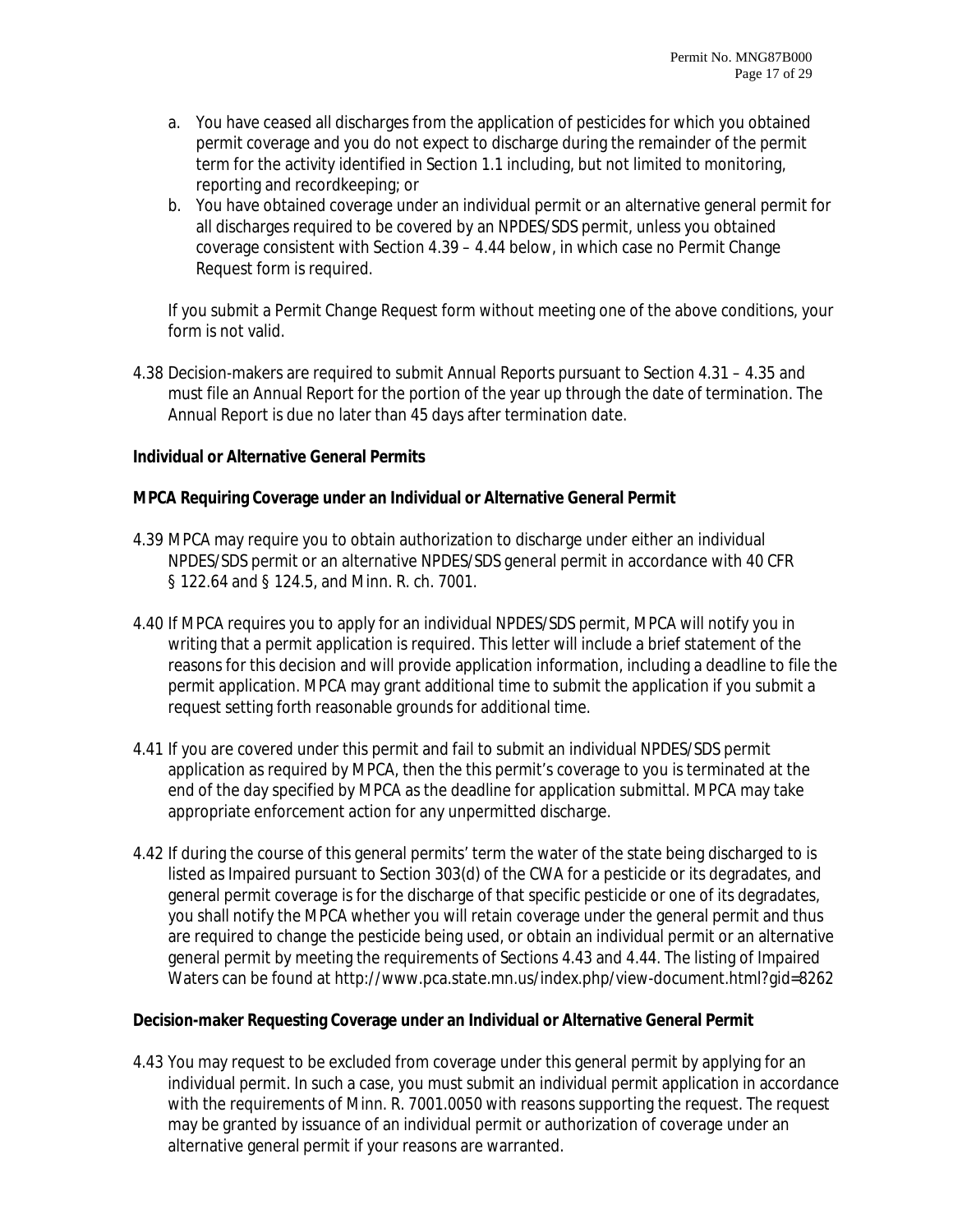- a. You have ceased all discharges from the application of pesticides for which you obtained permit coverage and you do not expect to discharge during the remainder of the permit term for the activity identified in Section 1.1 including, but not limited to monitoring, reporting and recordkeeping; or
- b. You have obtained coverage under an individual permit or an alternative general permit for all discharges required to be covered by an NPDES/SDS permit, unless you obtained coverage consistent with Section 4.39 – 4.44 below, in which case no Permit Change Request form is required.

If you submit a Permit Change Request form without meeting one of the above conditions, your form is not valid.

4.38 Decision-makers are required to submit Annual Reports pursuant to Section 4.31 – 4.35 and must file an Annual Report for the portion of the year up through the date of termination. The Annual Report is due no later than 45 days after termination date.

#### **Individual or Alternative General Permits**

#### **MPCA Requiring Coverage under an Individual or Alternative General Permit**

- 4.39 MPCA may require you to obtain authorization to discharge under either an individual NPDES/SDS permit or an alternative NPDES/SDS general permit in accordance with 40 CFR § 122.64 and § 124.5, and Minn. R. ch. 7001.
- 4.40 If MPCA requires you to apply for an individual NPDES/SDS permit, MPCA will notify you in writing that a permit application is required. This letter will include a brief statement of the reasons for this decision and will provide application information, including a deadline to file the permit application. MPCA may grant additional time to submit the application if you submit a request setting forth reasonable grounds for additional time.
- 4.41 If you are covered under this permit and fail to submit an individual NPDES/SDS permit application as required by MPCA, then the this permit's coverage to you is terminated at the end of the day specified by MPCA as the deadline for application submittal. MPCA may take appropriate enforcement action for any unpermitted discharge.
- 4.42 If during the course of this general permits' term the water of the state being discharged to is listed as Impaired pursuant to Section 303(d) of the CWA for a pesticide or its degradates, and general permit coverage is for the discharge of that specific pesticide or one of its degradates, you shall notify the MPCA whether you will retain coverage under the general permit and thus are required to change the pesticide being used, or obtain an individual permit or an alternative general permit by meeting the requirements of Sections 4.43 and 4.44. The listing of Impaired Waters can be found at http://www.pca.state.mn.us/index.php/view-document.html?gid=8262

#### **Decision-maker Requesting Coverage under an Individual or Alternative General Permit**

4.43 You may request to be excluded from coverage under this general permit by applying for an individual permit. In such a case, you must submit an individual permit application in accordance with the requirements of Minn. R. 7001.0050 with reasons supporting the request. The request may be granted by issuance of an individual permit or authorization of coverage under an alternative general permit if your reasons are warranted.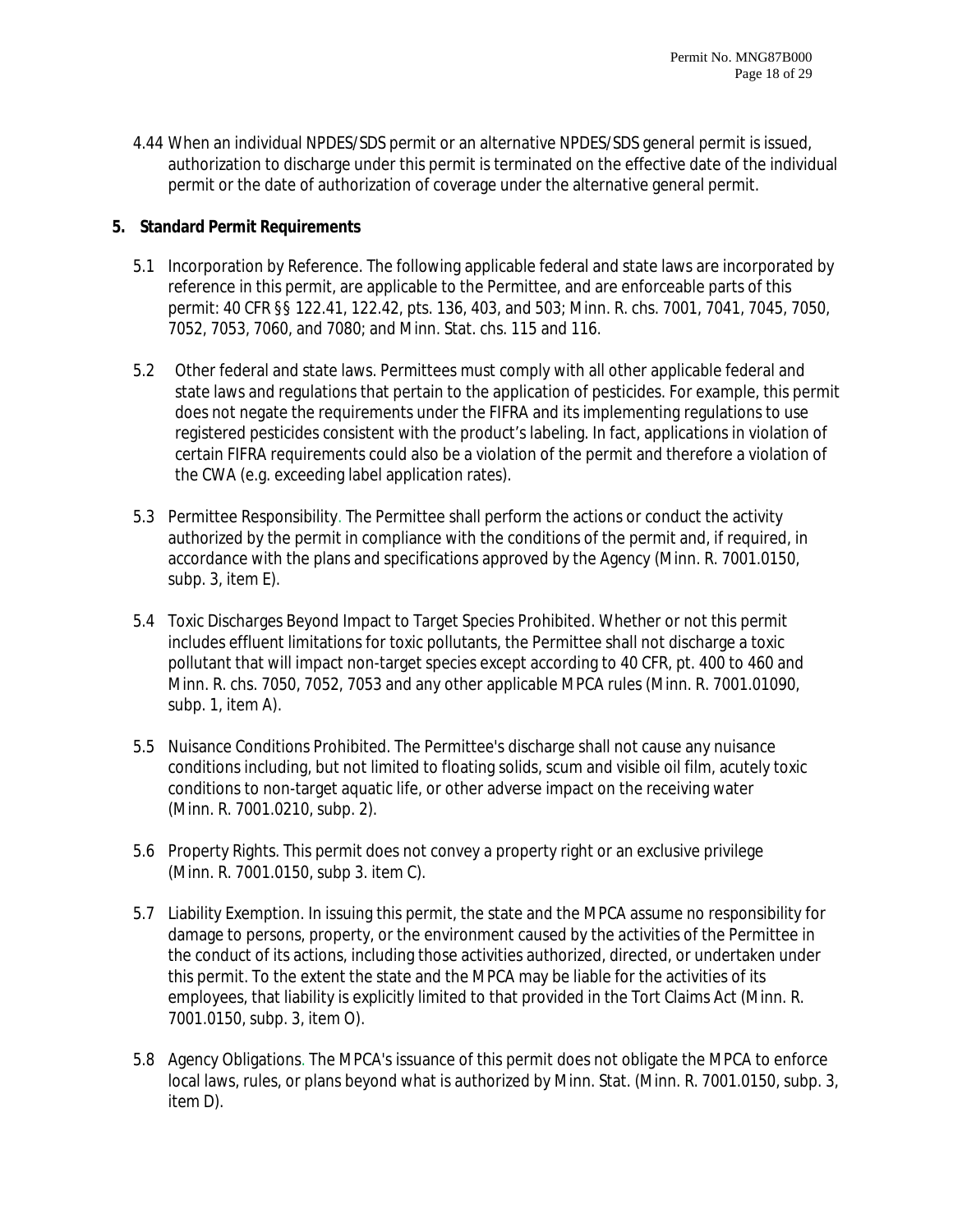4.44 When an individual NPDES/SDS permit or an alternative NPDES/SDS general permit is issued, authorization to discharge under this permit is terminated on the effective date of the individual permit or the date of authorization of coverage under the alternative general permit.

## **5. Standard Permit Requirements**

- 5.1 Incorporation by Reference. The following applicable federal and state laws are incorporated by reference in this permit, are applicable to the Permittee, and are enforceable parts of this permit: 40 CFR §§ 122.41, 122.42, pts. 136, 403, and 503; Minn. R. chs. 7001, 7041, 7045, 7050, 7052, 7053, 7060, and 7080; and Minn. Stat. chs. 115 and 116.
- 5.2 Other federal and state laws. Permittees must comply with all other applicable federal and state laws and regulations that pertain to the application of pesticides. For example, this permit does not negate the requirements under the FIFRA and its implementing regulations to use registered pesticides consistent with the product's labeling. In fact, applications in violation of certain FIFRA requirements could also be a violation of the permit and therefore a violation of the CWA (e.g. exceeding label application rates).
- 5.3 Permittee Responsibility. The Permittee shall perform the actions or conduct the activity authorized by the permit in compliance with the conditions of the permit and, if required, in accordance with the plans and specifications approved by the Agency (Minn. R. 7001.0150, subp. 3, item E).
- 5.4 Toxic Discharges Beyond Impact to Target Species Prohibited. Whether or not this permit includes effluent limitations for toxic pollutants, the Permittee shall not discharge a toxic pollutant that will impact non-target species except according to 40 CFR, pt. 400 to 460 and Minn. R. chs. 7050, 7052, 7053 and any other applicable MPCA rules (Minn. R. 7001.01090, subp. 1, item A).
- 5.5 Nuisance Conditions Prohibited. The Permittee's discharge shall not cause any nuisance conditions including, but not limited to floating solids, scum and visible oil film, acutely toxic conditions to non-target aquatic life, or other adverse impact on the receiving water (Minn. R. 7001.0210, subp. 2).
- 5.6 Property Rights. This permit does not convey a property right or an exclusive privilege (Minn. R. 7001.0150, subp 3. item C).
- 5.7 Liability Exemption. In issuing this permit, the state and the MPCA assume no responsibility for damage to persons, property, or the environment caused by the activities of the Permittee in the conduct of its actions, including those activities authorized, directed, or undertaken under this permit. To the extent the state and the MPCA may be liable for the activities of its employees, that liability is explicitly limited to that provided in the Tort Claims Act (Minn. R. 7001.0150, subp. 3, item O).
- 5.8 Agency Obligations. The MPCA's issuance of this permit does not obligate the MPCA to enforce local laws, rules, or plans beyond what is authorized by Minn. Stat. (Minn. R. 7001.0150, subp. 3, item D).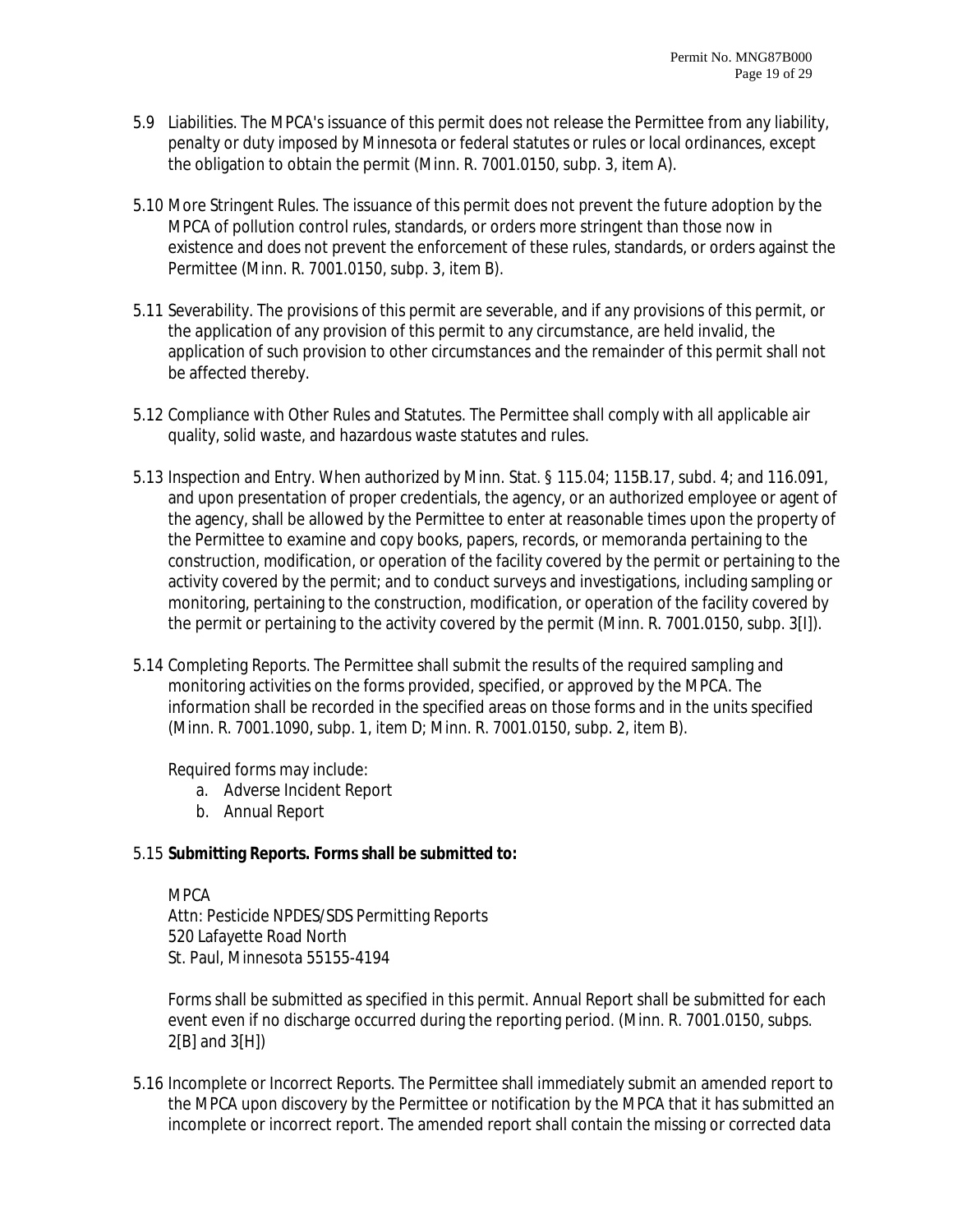- 5.9 Liabilities. The MPCA's issuance of this permit does not release the Permittee from any liability, penalty or duty imposed by Minnesota or federal statutes or rules or local ordinances, except the obligation to obtain the permit (Minn. R. 7001.0150, subp. 3, item A).
- 5.10 More Stringent Rules. The issuance of this permit does not prevent the future adoption by the MPCA of pollution control rules, standards, or orders more stringent than those now in existence and does not prevent the enforcement of these rules, standards, or orders against the Permittee (Minn. R. 7001.0150, subp. 3, item B).
- 5.11 Severability. The provisions of this permit are severable, and if any provisions of this permit, or the application of any provision of this permit to any circumstance, are held invalid, the application of such provision to other circumstances and the remainder of this permit shall not be affected thereby.
- 5.12 Compliance with Other Rules and Statutes. The Permittee shall comply with all applicable air quality, solid waste, and hazardous waste statutes and rules.
- 5.13 Inspection and Entry. When authorized by Minn. Stat. § 115.04; 115B.17, subd. 4; and 116.091, and upon presentation of proper credentials, the agency, or an authorized employee or agent of the agency, shall be allowed by the Permittee to enter at reasonable times upon the property of the Permittee to examine and copy books, papers, records, or memoranda pertaining to the construction, modification, or operation of the facility covered by the permit or pertaining to the activity covered by the permit; and to conduct surveys and investigations, including sampling or monitoring, pertaining to the construction, modification, or operation of the facility covered by the permit or pertaining to the activity covered by the permit (Minn. R. 7001.0150, subp. 3[I]).
- 5.14 Completing Reports. The Permittee shall submit the results of the required sampling and monitoring activities on the forms provided, specified, or approved by the MPCA. The information shall be recorded in the specified areas on those forms and in the units specified (Minn. R. 7001.1090, subp. 1, item D; Minn. R. 7001.0150, subp. 2, item B).

Required forms may include:

- a. Adverse Incident Report
- b. Annual Report

#### 5.15 **Submitting Reports. Forms shall be submitted to:**

MPCA

Attn: Pesticide NPDES/SDS Permitting Reports 520 Lafayette Road North St. Paul, Minnesota 55155-4194

Forms shall be submitted as specified in this permit. Annual Report shall be submitted for each event even if no discharge occurred during the reporting period. (Minn. R. 7001.0150, subps. 2[B] and 3[H])

5.16 Incomplete or Incorrect Reports. The Permittee shall immediately submit an amended report to the MPCA upon discovery by the Permittee or notification by the MPCA that it has submitted an incomplete or incorrect report. The amended report shall contain the missing or corrected data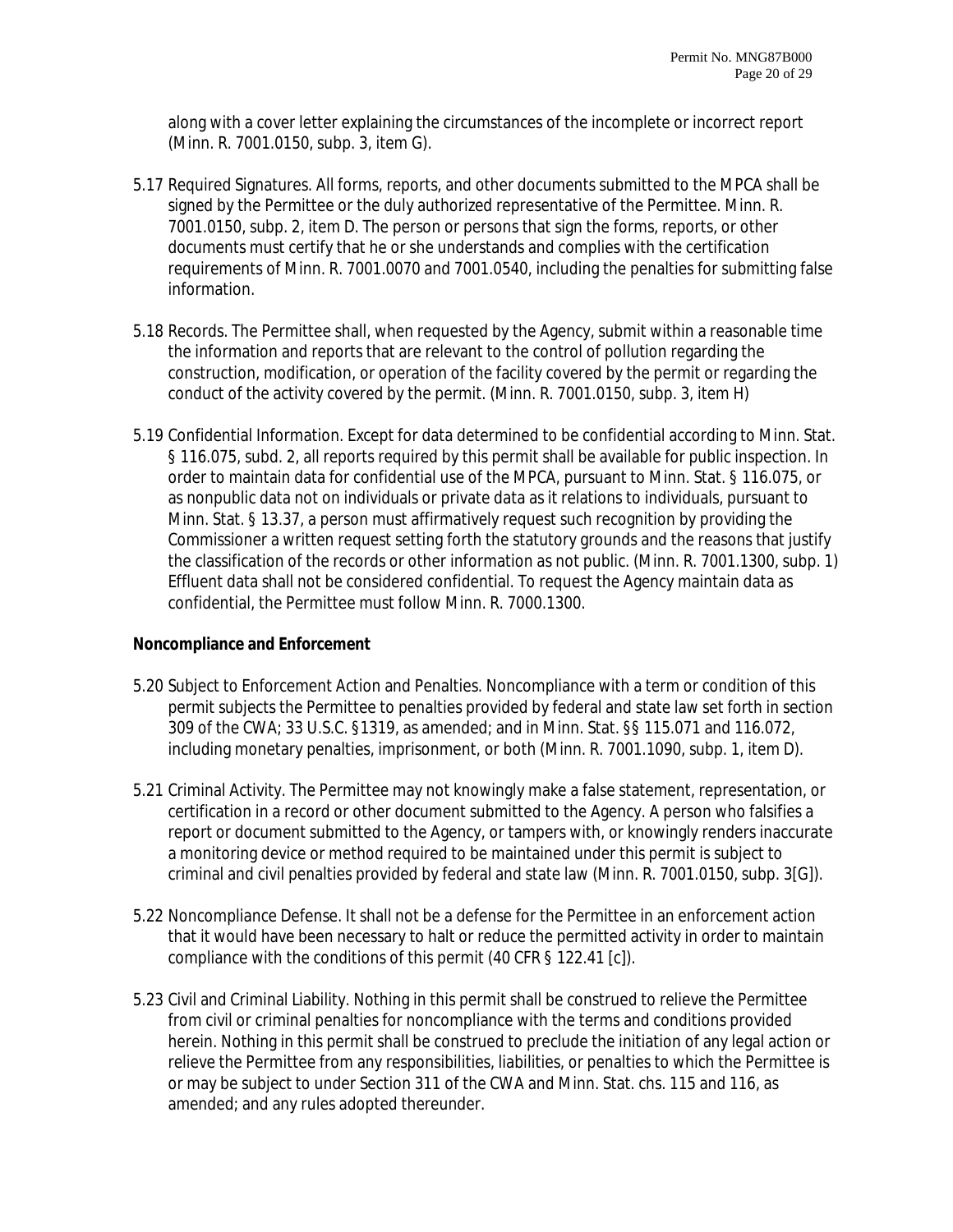along with a cover letter explaining the circumstances of the incomplete or incorrect report (Minn. R. 7001.0150, subp. 3, item G).

- 5.17 Required Signatures. All forms, reports, and other documents submitted to the MPCA shall be signed by the Permittee or the duly authorized representative of the Permittee. Minn. R. 7001.0150, subp. 2, item D. The person or persons that sign the forms, reports, or other documents must certify that he or she understands and complies with the certification requirements of Minn. R. 7001.0070 and 7001.0540, including the penalties for submitting false information.
- 5.18 Records. The Permittee shall, when requested by the Agency, submit within a reasonable time the information and reports that are relevant to the control of pollution regarding the construction, modification, or operation of the facility covered by the permit or regarding the conduct of the activity covered by the permit. (Minn. R. 7001.0150, subp. 3, item H)
- 5.19 Confidential Information. Except for data determined to be confidential according to Minn. Stat. § 116.075, subd. 2, all reports required by this permit shall be available for public inspection. In order to maintain data for confidential use of the MPCA, pursuant to Minn. Stat. § 116.075, or as nonpublic data not on individuals or private data as it relations to individuals, pursuant to Minn. Stat. § 13.37, a person must affirmatively request such recognition by providing the Commissioner a written request setting forth the statutory grounds and the reasons that justify the classification of the records or other information as not public. (Minn. R. 7001.1300, subp. 1) Effluent data shall not be considered confidential. To request the Agency maintain data as confidential, the Permittee must follow Minn. R. 7000.1300.

#### **Noncompliance and Enforcement**

- 5.20 Subject to Enforcement Action and Penalties. Noncompliance with a term or condition of this permit subjects the Permittee to penalties provided by federal and state law set forth in section 309 of the CWA; 33 U.S.C. §1319, as amended; and in Minn. Stat. §§ 115.071 and 116.072, including monetary penalties, imprisonment, or both (Minn. R. 7001.1090, subp. 1, item D).
- 5.21 Criminal Activity. The Permittee may not knowingly make a false statement, representation, or certification in a record or other document submitted to the Agency. A person who falsifies a report or document submitted to the Agency, or tampers with, or knowingly renders inaccurate a monitoring device or method required to be maintained under this permit is subject to criminal and civil penalties provided by federal and state law (Minn. R. 7001.0150, subp. 3[G]).
- 5.22 Noncompliance Defense. It shall not be a defense for the Permittee in an enforcement action that it would have been necessary to halt or reduce the permitted activity in order to maintain compliance with the conditions of this permit (40 CFR § 122.41 [c]).
- 5.23 Civil and Criminal Liability. Nothing in this permit shall be construed to relieve the Permittee from civil or criminal penalties for noncompliance with the terms and conditions provided herein. Nothing in this permit shall be construed to preclude the initiation of any legal action or relieve the Permittee from any responsibilities, liabilities, or penalties to which the Permittee is or may be subject to under Section 311 of the CWA and Minn. Stat. chs. 115 and 116, as amended; and any rules adopted thereunder.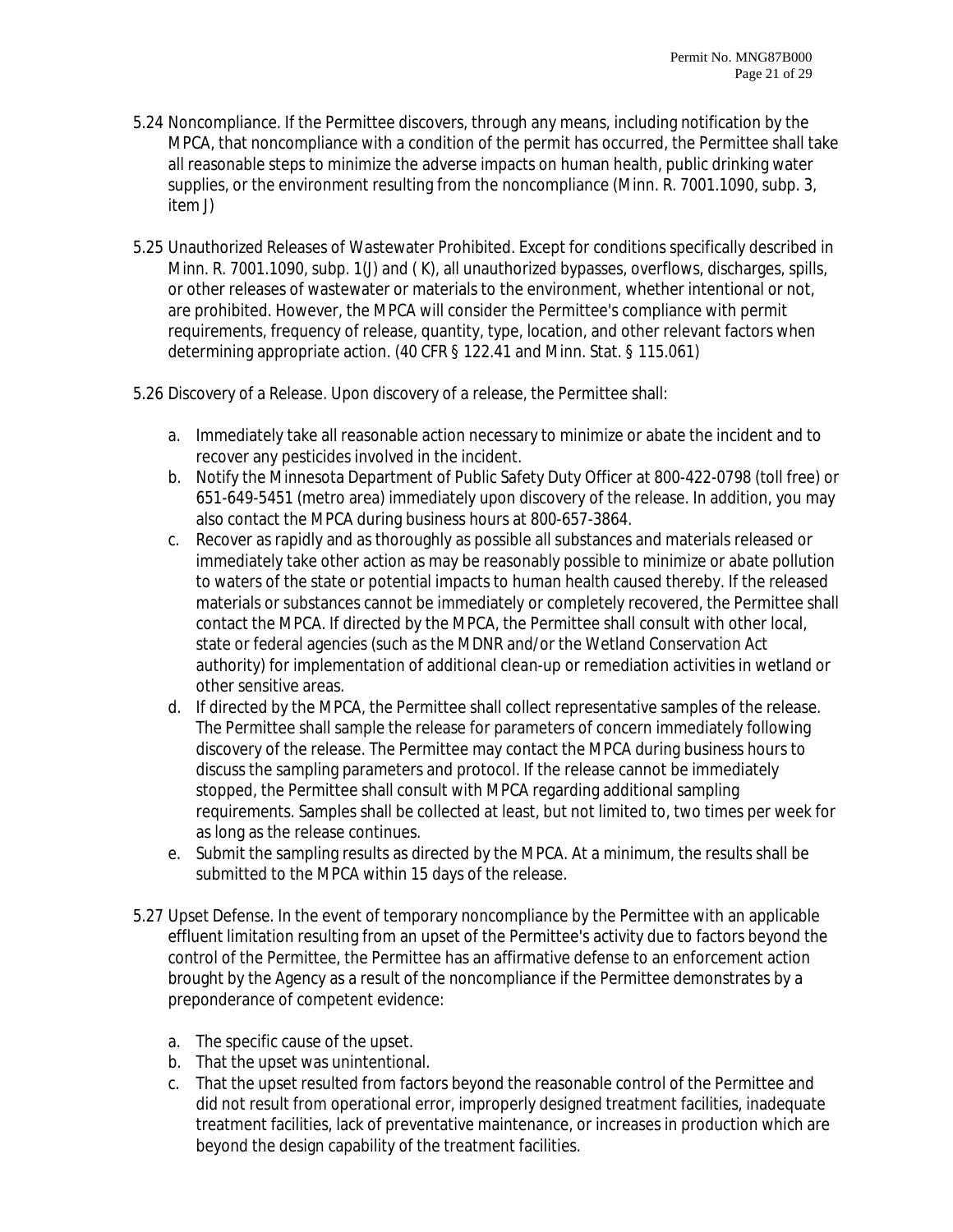- 5.24 Noncompliance. If the Permittee discovers, through any means, including notification by the MPCA, that noncompliance with a condition of the permit has occurred, the Permittee shall take all reasonable steps to minimize the adverse impacts on human health, public drinking water supplies, or the environment resulting from the noncompliance (Minn. R. 7001.1090, subp. 3, item J)
- 5.25 Unauthorized Releases of Wastewater Prohibited. Except for conditions specifically described in Minn. R. 7001.1090, subp. 1(J) and ( K), all unauthorized bypasses, overflows, discharges, spills, or other releases of wastewater or materials to the environment, whether intentional or not, are prohibited. However, the MPCA will consider the Permittee's compliance with permit requirements, frequency of release, quantity, type, location, and other relevant factors when determining appropriate action. (40 CFR § 122.41 and Minn. Stat. § 115.061)
- 5.26 Discovery of a Release. Upon discovery of a release, the Permittee shall:
	- a. Immediately take all reasonable action necessary to minimize or abate the incident and to recover any pesticides involved in the incident.
	- b. Notify the Minnesota Department of Public Safety Duty Officer at 800-422-0798 (toll free) or 651-649-5451 (metro area) immediately upon discovery of the release. In addition, you may also contact the MPCA during business hours at 800-657-3864.
	- c. Recover as rapidly and as thoroughly as possible all substances and materials released or immediately take other action as may be reasonably possible to minimize or abate pollution to waters of the state or potential impacts to human health caused thereby. If the released materials or substances cannot be immediately or completely recovered, the Permittee shall contact the MPCA. If directed by the MPCA, the Permittee shall consult with other local, state or federal agencies (such as the MDNR and/or the Wetland Conservation Act authority) for implementation of additional clean-up or remediation activities in wetland or other sensitive areas.
	- d. If directed by the MPCA, the Permittee shall collect representative samples of the release. The Permittee shall sample the release for parameters of concern immediately following discovery of the release. The Permittee may contact the MPCA during business hours to discuss the sampling parameters and protocol. If the release cannot be immediately stopped, the Permittee shall consult with MPCA regarding additional sampling requirements. Samples shall be collected at least, but not limited to, two times per week for as long as the release continues.
	- e. Submit the sampling results as directed by the MPCA. At a minimum, the results shall be submitted to the MPCA within 15 days of the release.
- 5.27 Upset Defense. In the event of temporary noncompliance by the Permittee with an applicable effluent limitation resulting from an upset of the Permittee's activity due to factors beyond the control of the Permittee, the Permittee has an affirmative defense to an enforcement action brought by the Agency as a result of the noncompliance if the Permittee demonstrates by a preponderance of competent evidence:
	- a. The specific cause of the upset.
	- b. That the upset was unintentional.
	- c. That the upset resulted from factors beyond the reasonable control of the Permittee and did not result from operational error, improperly designed treatment facilities, inadequate treatment facilities, lack of preventative maintenance, or increases in production which are beyond the design capability of the treatment facilities.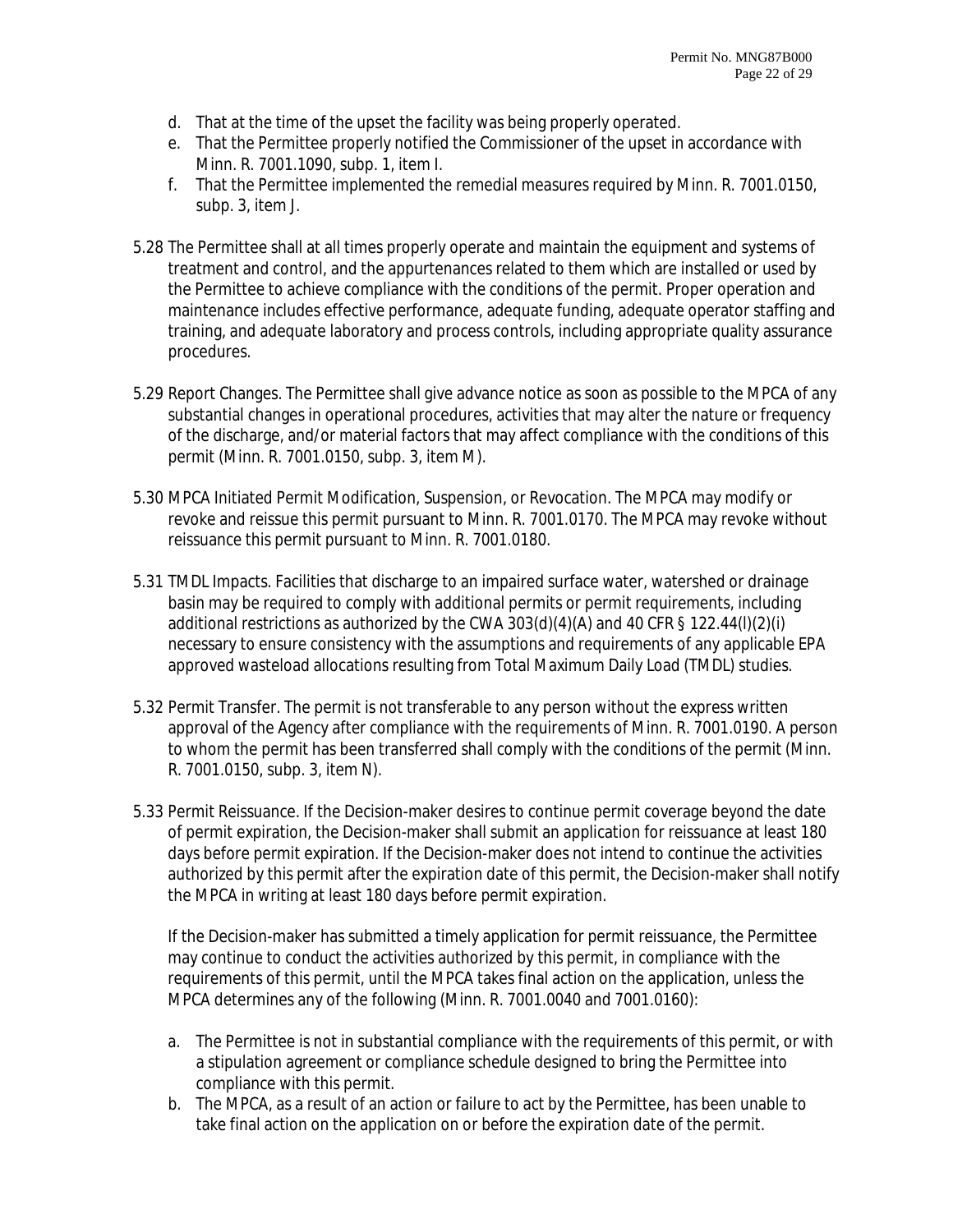- d. That at the time of the upset the facility was being properly operated.
- e. That the Permittee properly notified the Commissioner of the upset in accordance with Minn. R. 7001.1090, subp. 1, item I.
- f. That the Permittee implemented the remedial measures required by Minn. R. 7001.0150, subp. 3, item J.
- 5.28 The Permittee shall at all times properly operate and maintain the equipment and systems of treatment and control, and the appurtenances related to them which are installed or used by the Permittee to achieve compliance with the conditions of the permit. Proper operation and maintenance includes effective performance, adequate funding, adequate operator staffing and training, and adequate laboratory and process controls, including appropriate quality assurance procedures.
- 5.29 Report Changes. The Permittee shall give advance notice as soon as possible to the MPCA of any substantial changes in operational procedures, activities that may alter the nature or frequency of the discharge, and/or material factors that may affect compliance with the conditions of this permit (Minn. R. 7001.0150, subp. 3, item M).
- 5.30 MPCA Initiated Permit Modification, Suspension, or Revocation. The MPCA may modify or revoke and reissue this permit pursuant to Minn. R. 7001.0170. The MPCA may revoke without reissuance this permit pursuant to Minn. R. 7001.0180.
- 5.31 TMDL Impacts. Facilities that discharge to an impaired surface water, watershed or drainage basin may be required to comply with additional permits or permit requirements, including additional restrictions as authorized by the CWA 303(d)(4)(A) and 40 CFR § 122.44(l)(2)(i) necessary to ensure consistency with the assumptions and requirements of any applicable EPA approved wasteload allocations resulting from Total Maximum Daily Load (TMDL) studies.
- 5.32 Permit Transfer. The permit is not transferable to any person without the express written approval of the Agency after compliance with the requirements of Minn. R. 7001.0190. A person to whom the permit has been transferred shall comply with the conditions of the permit (Minn. R. 7001.0150, subp. 3, item N).
- 5.33 Permit Reissuance. If the Decision-maker desires to continue permit coverage beyond the date of permit expiration, the Decision-maker shall submit an application for reissuance at least 180 days before permit expiration. If the Decision-maker does not intend to continue the activities authorized by this permit after the expiration date of this permit, the Decision-maker shall notify the MPCA in writing at least 180 days before permit expiration.

If the Decision-maker has submitted a timely application for permit reissuance, the Permittee may continue to conduct the activities authorized by this permit, in compliance with the requirements of this permit, until the MPCA takes final action on the application, unless the MPCA determines any of the following (Minn. R. 7001.0040 and 7001.0160):

- a. The Permittee is not in substantial compliance with the requirements of this permit, or with a stipulation agreement or compliance schedule designed to bring the Permittee into compliance with this permit.
- b. The MPCA, as a result of an action or failure to act by the Permittee, has been unable to take final action on the application on or before the expiration date of the permit.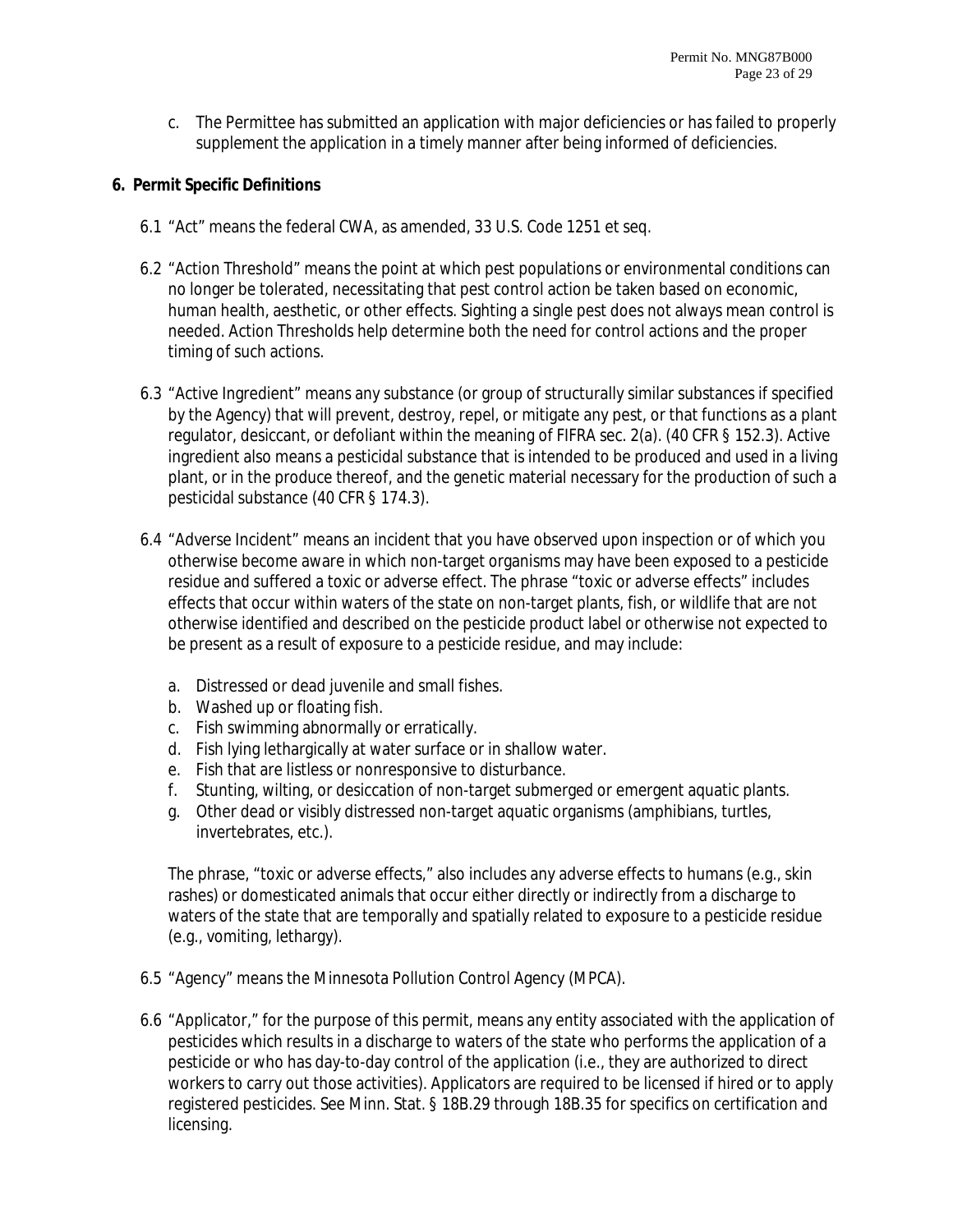c. The Permittee has submitted an application with major deficiencies or has failed to properly supplement the application in a timely manner after being informed of deficiencies.

# **6. Permit Specific Definitions**

- 6.1 "Act" means the federal CWA, as amended, 33 U.S. Code 1251 et seq.
- 6.2 "Action Threshold" means the point at which pest populations or environmental conditions can no longer be tolerated, necessitating that pest control action be taken based on economic, human health, aesthetic, or other effects. Sighting a single pest does not always mean control is needed. Action Thresholds help determine both the need for control actions and the proper timing of such actions.
- 6.3 "Active Ingredient" means any substance (or group of structurally similar substances if specified by the Agency) that will prevent, destroy, repel, or mitigate any pest, or that functions as a plant regulator, desiccant, or defoliant within the meaning of FIFRA sec. 2(a). (40 CFR § 152.3). Active ingredient also means a pesticidal substance that is intended to be produced and used in a living plant, or in the produce thereof, and the genetic material necessary for the production of such a pesticidal substance (40 CFR § 174.3).
- 6.4 "Adverse Incident" means an incident that you have observed upon inspection or of which you otherwise become aware in which non-target organisms may have been exposed to a pesticide residue and suffered a toxic or adverse effect. The phrase "toxic or adverse effects" includes effects that occur within waters of the state on non-target plants, fish, or wildlife that are not otherwise identified and described on the pesticide product label or otherwise not expected to be present as a result of exposure to a pesticide residue, and may include:
	- a. Distressed or dead juvenile and small fishes.
	- b. Washed up or floating fish.
	- c. Fish swimming abnormally or erratically.
	- d. Fish lying lethargically at water surface or in shallow water.
	- e. Fish that are listless or nonresponsive to disturbance.
	- f. Stunting, wilting, or desiccation of non-target submerged or emergent aquatic plants.
	- g. Other dead or visibly distressed non-target aquatic organisms (amphibians, turtles, invertebrates, etc.).

The phrase, "toxic or adverse effects," also includes any adverse effects to humans (e.g., skin rashes) or domesticated animals that occur either directly or indirectly from a discharge to waters of the state that are temporally and spatially related to exposure to a pesticide residue (e.g., vomiting, lethargy).

- 6.5 "Agency" means the Minnesota Pollution Control Agency (MPCA).
- 6.6 "Applicator," for the purpose of this permit, means any entity associated with the application of pesticides which results in a discharge to waters of the state who performs the application of a pesticide or who has day-to-day control of the application (i.e., they are authorized to direct workers to carry out those activities). Applicators are required to be licensed if hired or to apply registered pesticides. See Minn. Stat. § 18B.29 through 18B.35 for specifics on certification and licensing.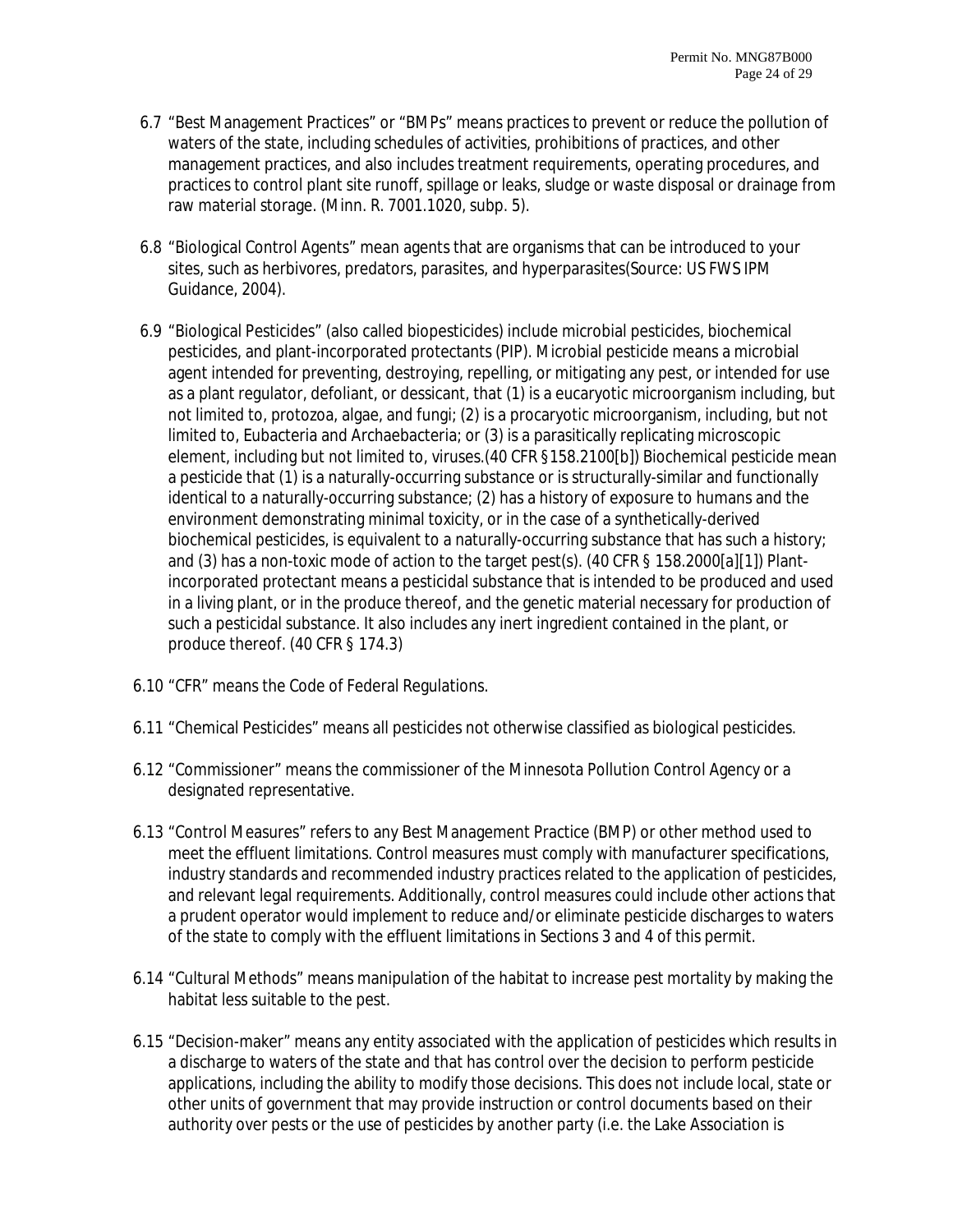- 6.7 "Best Management Practices" or "BMPs" means practices to prevent or reduce the pollution of waters of the state, including schedules of activities, prohibitions of practices, and other management practices, and also includes treatment requirements, operating procedures, and practices to control plant site runoff, spillage or leaks, sludge or waste disposal or drainage from raw material storage. (Minn. R. 7001.1020, subp. 5).
- 6.8 "Biological Control Agents" mean agents that are organisms that can be introduced to your sites, such as herbivores, predators, parasites, and hyperparasites(Source: US FWS IPM Guidance, 2004).
- 6.9 "Biological Pesticides" (also called biopesticides) include microbial pesticides, biochemical pesticides, and plant-incorporated protectants (PIP). Microbial pesticide means a microbial agent intended for preventing, destroying, repelling, or mitigating any pest, or intended for use as a plant regulator, defoliant, or dessicant, that (1) is a eucaryotic microorganism including, but not limited to, protozoa, algae, and fungi; (2) is a procaryotic microorganism, including, but not limited to, Eubacteria and Archaebacteria; or (3) is a parasitically replicating microscopic element, including but not limited to, viruses.(40 CFR §158.2100[b]) Biochemical pesticide mean a pesticide that (1) is a naturally-occurring substance or is structurally-similar and functionally identical to a naturally-occurring substance; (2) has a history of exposure to humans and the environment demonstrating minimal toxicity, or in the case of a synthetically-derived biochemical pesticides, is equivalent to a naturally-occurring substance that has such a history; and (3) has a non-toxic mode of action to the target pest(s). (40 CFR § 158.2000[a][1]) Plantincorporated protectant means a pesticidal substance that is intended to be produced and used in a living plant, or in the produce thereof, and the genetic material necessary for production of such a pesticidal substance. It also includes any inert ingredient contained in the plant, or produce thereof. (40 CFR § 174.3)
- 6.10 "CFR" means the Code of Federal Regulations.
- 6.11 "Chemical Pesticides" means all pesticides not otherwise classified as biological pesticides.
- 6.12 "Commissioner" means the commissioner of the Minnesota Pollution Control Agency or a designated representative.
- 6.13 "Control Measures" refers to any Best Management Practice (BMP) or other method used to meet the effluent limitations. Control measures must comply with manufacturer specifications, industry standards and recommended industry practices related to the application of pesticides, and relevant legal requirements. Additionally, control measures could include other actions that a prudent operator would implement to reduce and/or eliminate pesticide discharges to waters of the state to comply with the effluent limitations in Sections 3 and 4 of this permit.
- 6.14 "Cultural Methods" means manipulation of the habitat to increase pest mortality by making the habitat less suitable to the pest.
- 6.15 "Decision-maker" means any entity associated with the application of pesticides which results in a discharge to waters of the state and that has control over the decision to perform pesticide applications, including the ability to modify those decisions. This does not include local, state or other units of government that may provide instruction or control documents based on their authority over pests or the use of pesticides by another party (i.e. the Lake Association is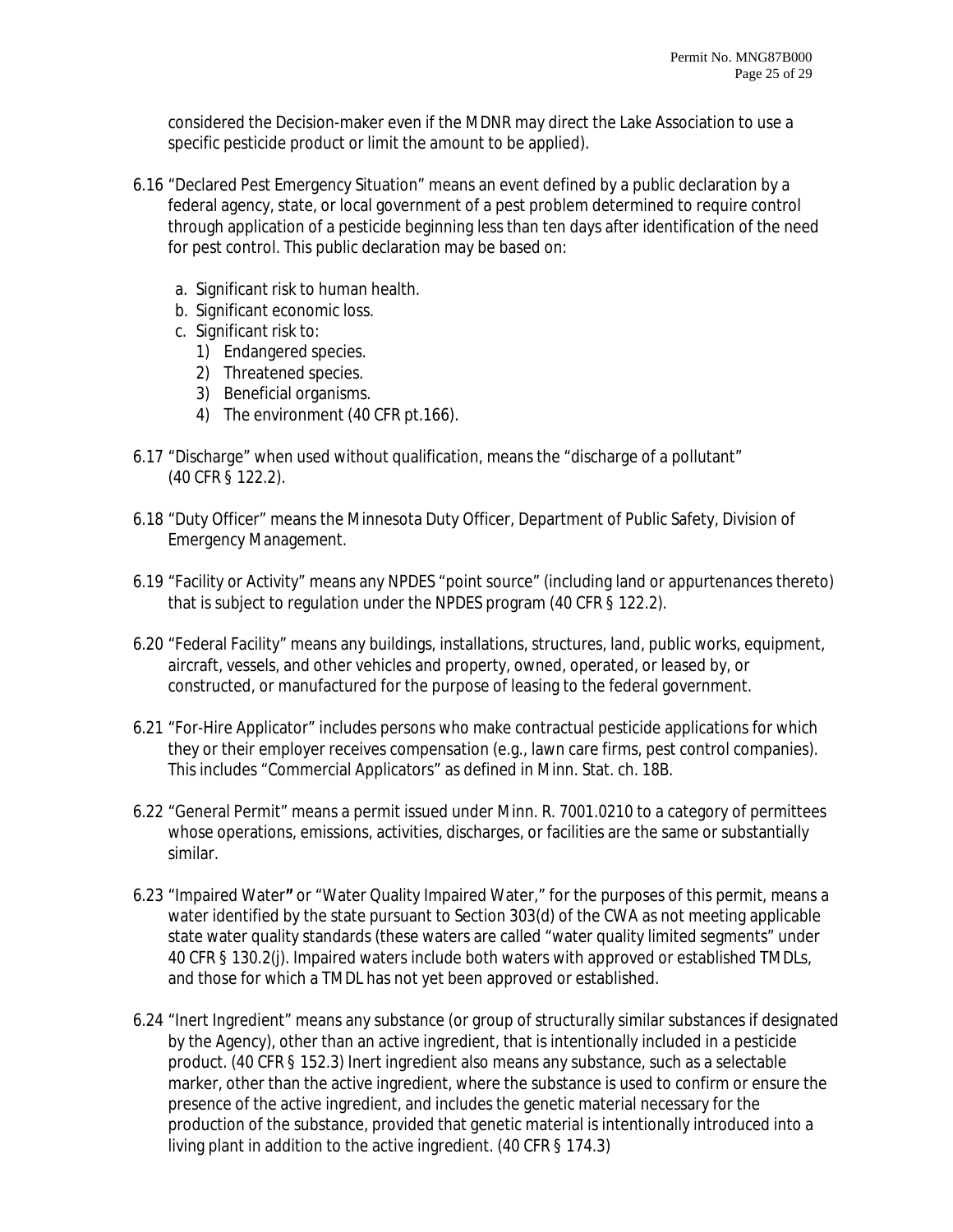considered the Decision-maker even if the MDNR may direct the Lake Association to use a specific pesticide product or limit the amount to be applied).

- 6.16 "Declared Pest Emergency Situation" means an event defined by a public declaration by a federal agency, state, or local government of a pest problem determined to require control through application of a pesticide beginning less than ten days after identification of the need for pest control. This public declaration may be based on:
	- a. Significant risk to human health.
	- b. Significant economic loss.
	- c. Significant risk to:
		- 1) Endangered species.
		- 2) Threatened species.
		- 3) Beneficial organisms.
		- 4) The environment (40 CFR pt.166).
- 6.17 "Discharge" when used without qualification, means the "discharge of a pollutant" (40 CFR § 122.2).
- 6.18 "Duty Officer" means the Minnesota Duty Officer, Department of Public Safety, Division of Emergency Management.
- 6.19 "Facility or Activity" means any NPDES "point source" (including land or appurtenances thereto) that is subject to regulation under the NPDES program (40 CFR § 122.2).
- 6.20 "Federal Facility" means any buildings, installations, structures, land, public works, equipment, aircraft, vessels, and other vehicles and property, owned, operated, or leased by, or constructed, or manufactured for the purpose of leasing to the federal government.
- 6.21 "For-Hire Applicator" includes persons who make contractual pesticide applications for which they or their employer receives compensation (e.g., lawn care firms, pest control companies). This includes "Commercial Applicators" as defined in Minn. Stat. ch. 18B.
- 6.22 "General Permit" means a permit issued under Minn. R. 7001.0210 to a category of permittees whose operations, emissions, activities, discharges, or facilities are the same or substantially similar.
- 6.23 "Impaired Water**"** or "Water Quality Impaired Water," for the purposes of this permit, means a water identified by the state pursuant to Section 303(d) of the CWA as not meeting applicable state water quality standards (these waters are called "water quality limited segments" under 40 CFR § 130.2(j). Impaired waters include both waters with approved or established TMDLs, and those for which a TMDL has not yet been approved or established.
- 6.24 "Inert Ingredient" means any substance (or group of structurally similar substances if designated by the Agency), other than an active ingredient, that is intentionally included in a pesticide product. (40 CFR § 152.3) Inert ingredient also means any substance, such as a selectable marker, other than the active ingredient, where the substance is used to confirm or ensure the presence of the active ingredient, and includes the genetic material necessary for the production of the substance, provided that genetic material is intentionally introduced into a living plant in addition to the active ingredient. (40 CFR § 174.3)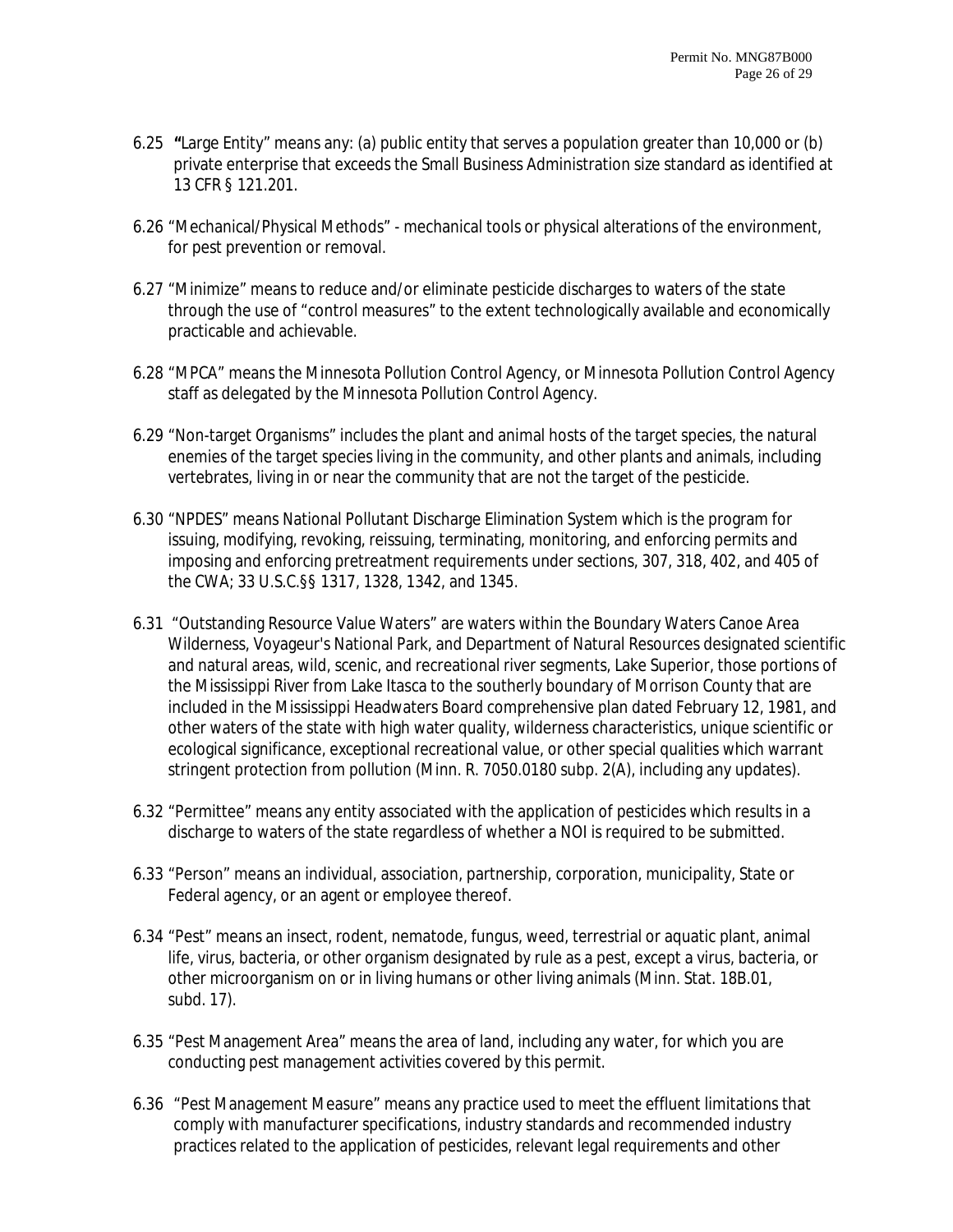- 6.25 **"**Large Entity" means any: (a) public entity that serves a population greater than 10,000 or (b) private enterprise that exceeds the Small Business Administration size standard as identified at 13 CFR § 121.201.
- 6.26 "Mechanical/Physical Methods" mechanical tools or physical alterations of the environment, for pest prevention or removal.
- 6.27 "Minimize" means to reduce and/or eliminate pesticide discharges to waters of the state through the use of "control measures" to the extent technologically available and economically practicable and achievable.
- 6.28 "MPCA" means the Minnesota Pollution Control Agency, or Minnesota Pollution Control Agency staff as delegated by the Minnesota Pollution Control Agency.
- 6.29 "Non-target Organisms" includes the plant and animal hosts of the target species, the natural enemies of the target species living in the community, and other plants and animals, including vertebrates, living in or near the community that are not the target of the pesticide.
- 6.30 "NPDES" means National Pollutant Discharge Elimination System which is the program for issuing, modifying, revoking, reissuing, terminating, monitoring, and enforcing permits and imposing and enforcing pretreatment requirements under sections, 307, 318, 402, and 405 of the CWA; 33 U.S.C.§§ 1317, 1328, 1342, and 1345.
- 6.31 "Outstanding Resource Value Waters" are waters within the Boundary Waters Canoe Area Wilderness, Voyageur's National Park, and Department of Natural Resources designated scientific and natural areas, wild, scenic, and recreational river segments, Lake Superior, those portions of the Mississippi River from Lake Itasca to the southerly boundary of Morrison County that are included in the Mississippi Headwaters Board comprehensive plan dated February 12, 1981, and other waters of the state with high water quality, wilderness characteristics, unique scientific or ecological significance, exceptional recreational value, or other special qualities which warrant stringent protection from pollution (Minn. R. 7050.0180 subp. 2(A), including any updates).
- 6.32 "Permittee" means any entity associated with the application of pesticides which results in a discharge to waters of the state regardless of whether a NOI is required to be submitted.
- 6.33 "Person" means an individual, association, partnership, corporation, municipality, State or Federal agency, or an agent or employee thereof.
- 6.34 "Pest" means an insect, rodent, nematode, fungus, weed, terrestrial or aquatic plant, animal life, virus, bacteria, or other organism designated by rule as a pest, except a virus, bacteria, or other microorganism on or in living humans or other living animals (Minn. Stat. 18B.01, subd. 17).
- 6.35 "Pest Management Area" means the area of land, including any water, for which you are conducting pest management activities covered by this permit.
- 6.36 "Pest Management Measure" means any practice used to meet the effluent limitations that comply with manufacturer specifications, industry standards and recommended industry practices related to the application of pesticides, relevant legal requirements and other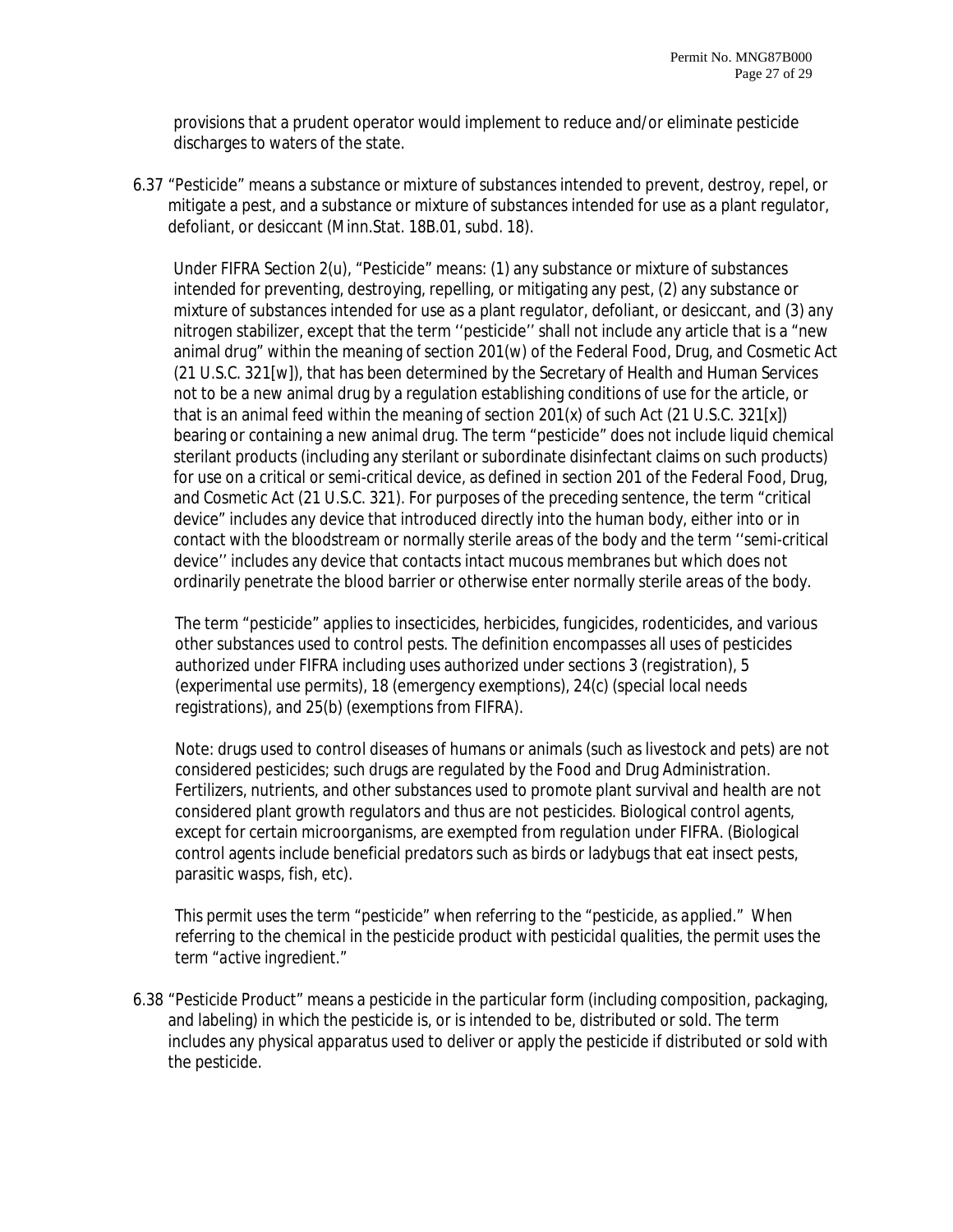provisions that a prudent operator would implement to reduce and/or eliminate pesticide discharges to waters of the state.

6.37 "Pesticide" means a substance or mixture of substances intended to prevent, destroy, repel, or mitigate a pest, and a substance or mixture of substances intended for use as a plant regulator, defoliant, or desiccant (Minn.Stat. 18B.01, subd. 18).

Under FIFRA Section 2(u), "Pesticide" means: (1) any substance or mixture of substances intended for preventing, destroying, repelling, or mitigating any pest, (2) any substance or mixture of substances intended for use as a plant regulator, defoliant, or desiccant, and (3) any nitrogen stabilizer, except that the term ''pesticide'' shall not include any article that is a "new animal drug" within the meaning of section 201(w) of the Federal Food, Drug, and Cosmetic Act (21 U.S.C. 321[w]), that has been determined by the Secretary of Health and Human Services not to be a new animal drug by a regulation establishing conditions of use for the article, or that is an animal feed within the meaning of section  $201(x)$  of such Act  $(21 \text{ U.S.C. } 321[x])$ bearing or containing a new animal drug. The term "pesticide" does not include liquid chemical sterilant products (including any sterilant or subordinate disinfectant claims on such products) for use on a critical or semi-critical device, as defined in section 201 of the Federal Food, Drug, and Cosmetic Act (21 U.S.C. 321). For purposes of the preceding sentence, the term "critical device" includes any device that introduced directly into the human body, either into or in contact with the bloodstream or normally sterile areas of the body and the term ''semi-critical device'' includes any device that contacts intact mucous membranes but which does not ordinarily penetrate the blood barrier or otherwise enter normally sterile areas of the body.

The term "pesticide" applies to insecticides, herbicides, fungicides, rodenticides, and various other substances used to control pests. The definition encompasses all uses of pesticides authorized under FIFRA including uses authorized under sections 3 (registration), 5 (experimental use permits), 18 (emergency exemptions), 24(c) (special local needs registrations), and 25(b) (exemptions from FIFRA).

Note: drugs used to control diseases of humans or animals (such as livestock and pets) are not considered pesticides; such drugs are regulated by the Food and Drug Administration. Fertilizers, nutrients, and other substances used to promote plant survival and health are not considered plant growth regulators and thus are not pesticides. Biological control agents, except for certain microorganisms, are exempted from regulation under FIFRA. (Biological control agents include beneficial predators such as birds or ladybugs that eat insect pests, parasitic wasps, fish, etc).

*This permit uses the term "pesticide" when referring to the "pesticide, as applied." When referring to the chemical in the pesticide product with pesticidal qualities, the permit uses the term "active ingredient."* 

6.38 "Pesticide Product" means a pesticide in the particular form (including composition, packaging, and labeling) in which the pesticide is, or is intended to be, distributed or sold. The term includes any physical apparatus used to deliver or apply the pesticide if distributed or sold with the pesticide.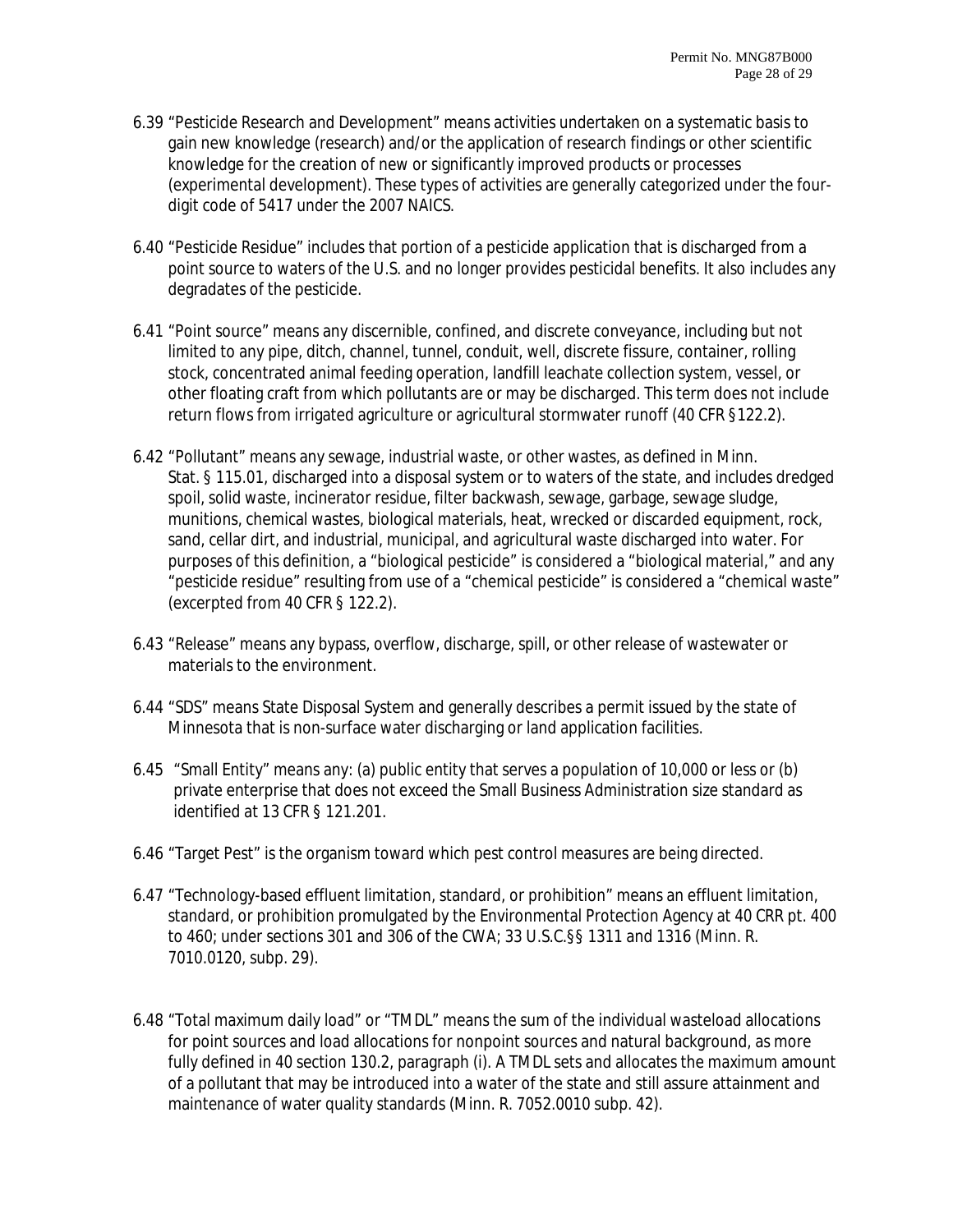- 6.39 "Pesticide Research and Development" means activities undertaken on a systematic basis to gain new knowledge (research) and/or the application of research findings or other scientific knowledge for the creation of new or significantly improved products or processes (experimental development). These types of activities are generally categorized under the fourdigit code of 5417 under the 2007 NAICS.
- 6.40 "Pesticide Residue" includes that portion of a pesticide application that is discharged from a point source to waters of the U.S. and no longer provides pesticidal benefits. It also includes any degradates of the pesticide.
- 6.41 "Point source" means any discernible, confined, and discrete conveyance, including but not limited to any pipe, ditch, channel, tunnel, conduit, well, discrete fissure, container, rolling stock, concentrated animal feeding operation, landfill leachate collection system, vessel, or other floating craft from which pollutants are or may be discharged. This term does not include return flows from irrigated agriculture or agricultural stormwater runoff (40 CFR §122.2).
- 6.42 "Pollutant" means any sewage, industrial waste, or other wastes, as defined in Minn. Stat. § 115.01, discharged into a disposal system or to waters of the state, and includes dredged spoil, solid waste, incinerator residue, filter backwash, sewage, garbage, sewage sludge, munitions, chemical wastes, biological materials, heat, wrecked or discarded equipment, rock, sand, cellar dirt, and industrial, municipal, and agricultural waste discharged into water. For purposes of this definition, a "biological pesticide" is considered a "biological material," and any "pesticide residue" resulting from use of a "chemical pesticide" is considered a "chemical waste" (excerpted from 40 CFR § 122.2).
- 6.43 "Release" means any bypass, overflow, discharge, spill, or other release of wastewater or materials to the environment.
- 6.44 "SDS" means State Disposal System and generally describes a permit issued by the state of Minnesota that is non-surface water discharging or land application facilities.
- 6.45 "Small Entity" means any: (a) public entity that serves a population of 10,000 or less or (b) private enterprise that does not exceed the Small Business Administration size standard as identified at 13 CFR § 121.201.
- 6.46 "Target Pest" is the organism toward which pest control measures are being directed.
- 6.47 "Technology-based effluent limitation, standard, or prohibition" means an effluent limitation, standard, or prohibition promulgated by the Environmental Protection Agency at 40 CRR pt. 400 to 460; under sections 301 and 306 of the CWA; 33 U.S.C.§§ 1311 and 1316 (Minn. R. 7010.0120, subp. 29).
- 6.48 "Total maximum daily load" or "TMDL" means the sum of the individual wasteload allocations for point sources and load allocations for nonpoint sources and natural background, as more fully defined in 40 section 130.2, paragraph (i). A TMDL sets and allocates the maximum amount of a pollutant that may be introduced into a water of the state and still assure attainment and maintenance of water quality standards (Minn. R. 7052.0010 subp. 42).